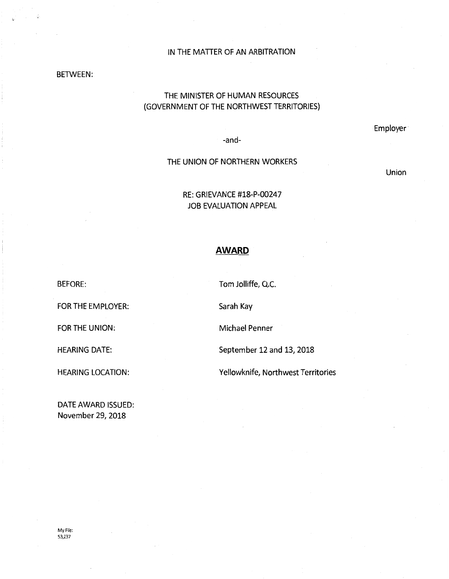## IN THE MATTER OF AN ARBITRATION

## BETWEEN:

# THE MINISTER OF HUMAN RESOURCES (GOVERNMENT OF THE NORTHWEST TERRITORIES)

Employer

-and-

## THE UNION OF NORTHERN WORKERS

Union

# RE: GRIEVANCE #18-P-00247 JOB EVALUATION APPEAL

### **AWARD**

BEFORE:

FOR THE EMPLOYER:

FOR THE UNION:

HEARING DATE:

HEARING LOCATION:

DATE AWARD ISSUED: November 29, 2018

Tom Jolliffe, Q.C.

Sarah Kay

Michael Penner

September 12 and 13, 2018

Yellowknife, Northwest Territories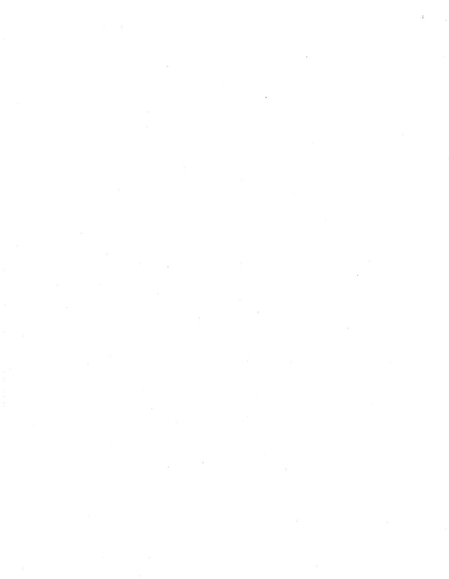$\label{eq:2.1} \frac{1}{2}\left(\frac{1}{\sqrt{2}}\right)^{2} \left(\frac{1}{\sqrt{2}}\right)^{2}$  $\label{eq:2.1} \frac{1}{\sqrt{2}}\int_{\mathbb{R}^3}\frac{1}{\sqrt{2}}\left(\frac{1}{\sqrt{2}}\right)^2\frac{1}{\sqrt{2}}\left(\frac{1}{\sqrt{2}}\right)^2\frac{1}{\sqrt{2}}\left(\frac{1}{\sqrt{2}}\right)^2\frac{1}{\sqrt{2}}\left(\frac{1}{\sqrt{2}}\right)^2.$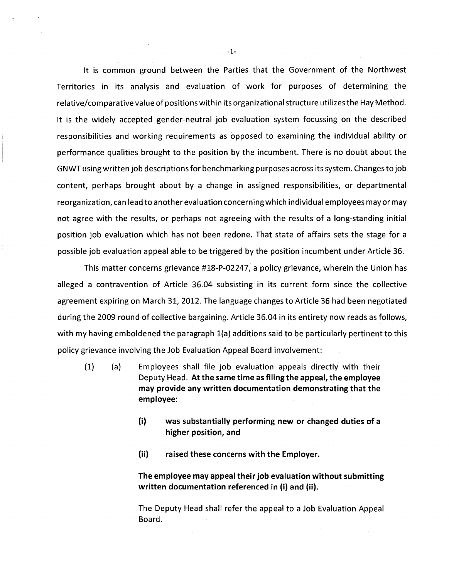It is common ground between the Parties that the Government of the Northwest Territories in its analysis and evaluation of work for purposes of determining the relative/comparative value of positions within its organizational structure utilizes the Hay Method. It is the widely accepted gender-neutral job evaluation system focussing on the described responsibilities and working requirements as opposed to examining the individual ability or performance qualities brought to the position by the incumbent. There is no doubt about the GNWT using written job descriptions for benchmarking purposes across its system. Changes to job content, perhaps brought about by a change in assigned responsibilities, or departmental reorganization, can lead to another evaluation concerning which individual employees may or may not agree with the results, or perhaps not agreeing with the results of a long-standing initial position job evaluation which has not been redone. That state of affairs sets the stage for a possible job evaluation appeal able to be triggered by the position incumbent under Article 36.

This matter concerns grievance #18-P-02247, a policy grievance, wherein the Union has alleged a contravention of Article 36.04 subsisting in its current form since the collective agreement expiring on March 31, 2012. The language changes to Article 36 had been negotiated during the 2009 round of collective bargaining. Article 36.04 in its entirety now reads as follows, with my having emboldened the paragraph  $1(a)$  additions said to be particularly pertinent to this policy grievance involving the Job Evaluation Appeal Board involvement:

- (1) (a) Employees shall file job evaluation appeals directly with their Deputy Head. **At the same time as filing the appeal, the employee may provide any written documentation demonstrating that the employee:** 
	- (i) **was substantially performing new or changed duties of a higher position, and**
	- **(ii) raised these concerns with the Employer.**

**The employee may appeal their job evaluation without submitting written documentation referenced in (i) and (ii).** 

The Deputy Head shall refer the appeal to a Job Evaluation Appeal Board.

-1-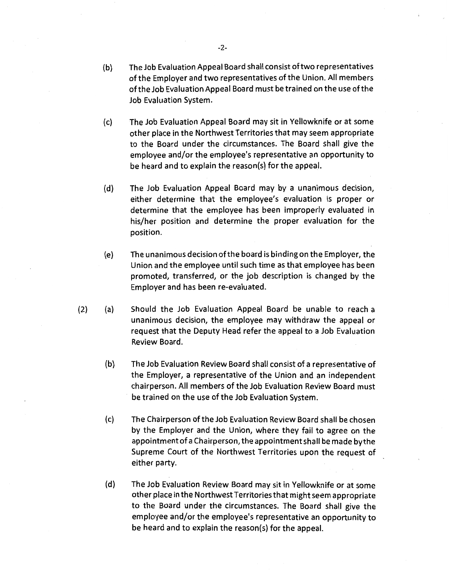- (b) The Job Evaluation Appeal Board shall consist of two representatives of the Employer and two representatives of the Union. All members of the Job Evaluation Appeal Board must be trained on the use of the Job Evaluation System.
- (c) The Job Evaluation Appeal Board may sit in Yellowknife or at some other place in the Northwest Territories that may seem appropriate to the Board under the circumstances. The Board shall give the employee and/or the employee's representative an opportunity to be heard and to explain the reason(s) for the appeal.
- (d) The Job Evaluation Appeal Board may by a unanimous decision, either determine that the employee's evaluation is proper or determine that the employee has been improperly evaluated in his/her position and determine the proper evaluation for the position.
- (e) The unanimous decision of the board is binding on the Employer, the Union and the employee until such time as that employee has been promoted, transferred, or the job description is changed by the Employer and has been re-evaluated.
- (2) (a) Should the Job Evaluation Appeal Board be unable to reach a unanimous decision, the employee may withdraw the appeal or request that the Deputy Head refer the appeal to a Job Evaluation Review Board.
	- (b) The Job Evaluation Review Board shall consist of a representative of the Employer, a representative of the Union and an independent chairperson. All members of the Job Evaluation Review Board must be trained on the use of the Job Evaluation System.
	- (c) The Chairperson of the Job Evaluation Review Board shall be chosen by the Employer and the Union, where they fail to agree on the appointment of a Chairperson, the appointment shall be made by the Supreme Court of the Northwest Territories upon the request of either party.
	- (d) The Job Evaluation Review Board may sit in Yellowknife or at some other place in the Northwest Territories that might seem appropriate to the Board under the circumstances. The Board shall give the employee and/or the employee's representative an opportunity to be heard and to explain the reason(s) for the appeal.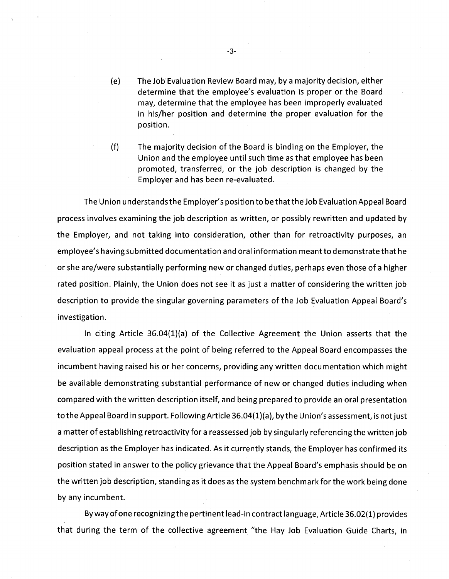(e) The Job Evaluation Review Board may, by a majority decision, either determine that the employee's evaluation is proper or the Board may, determine that the employee has been improperly evaluated in his/her position and determine the proper evaluation for the position.

(f) The majority decision of the Board is binding on the Employer, the Union and the employee until such time as that employee has been promoted, transferred, or the job description is changed by the Employer and has been re-evaluated.

The Union understands the Employer's position to bethattheJob Evaluation Appeal Board process involves examining the job description as written, or possibly rewritten and updated by the Employer, and not taking into consideration, other than for retroactivity purposes, an employee's having submitted documentation and oral information meant to demonstrate that he or she are/were substantially performing new or changed duties, perhaps even those of a higher rated position. Plainly, the Union does not see it as just a matter of considering the written job description to provide the singular governing parameters of the Job Evaluation Appeal Board's investigation.

In citing Article 36.04{1)(a) of the Collective Agreement the Union asserts that the evaluation appeal process at the point of being referred to the Appeal Board encompasses the incumbent having raised his or her concerns, providing any written documentation which might be available demonstrating substantial performance of new or changed duties including when compared with the written description itself, and being prepared to provide an oral presentation to the Appeal Board in support. Following Article 36.04{1)(a), by the Union's assessment, is not just a matter of establishing retroactivity for a reassessed job by singularly referencing the written job description as the Employer has indicated. As it currently stands, the Employer has confirmed its position stated in answer to the policy grievance that the Appeal Board's emphasis should be on the written job description, standing as it does as the system benchmark for the work being done by any incumbent.

Bywayofone recognizing the pertinent lead-in contract language, Article 36.02{1) provides that during the term of the collective agreement "the Hay Job Evaluation Guide Charts, in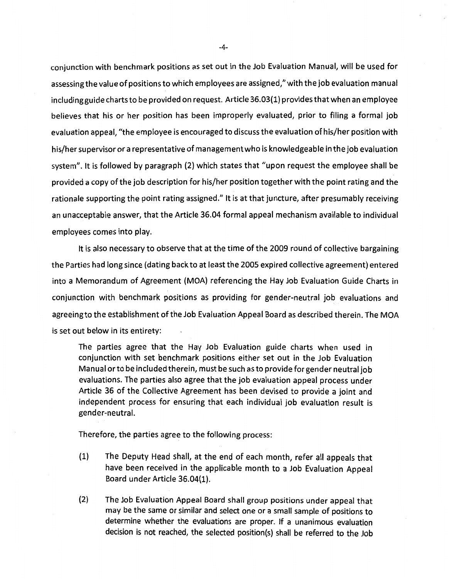conjunction with benchmark positions as set out in the Job Evaluation Manual, will be used for assessing the value of positions to which employees are assigned," with the job evaluation manual including guide charts to be provided on request. Article 36.03(1) provides that when an employee believes that his or her position has been improperly evaluated, prior to filing a formal job evaluation appeal, "the employee is encouraged to discuss the evaluation of his/her position with his/her supervisor or a representative of management who is knowledgeable in the job evaluation system". It is followed by paragraph (2) which states that "upon request the employee shall be provided a copy of the job description for his/her position together with the point rating and the rationale supporting the point rating assigned." It is at that juncture, after presumably receiving an unacceptable answer, that the Article 36.04 formal appeal mechanism available to individual employees comes into play.

It is also necessary to observe that at the time of the 2009 round of collective bargaining the Parties had long since (dating back to at least the 2005 expired collective agreement) entered into a Memorandum of Agreement (MOA) referencing the Hay Job Evaluation Guide Charts in conjunction with benchmark positions as providing for gender-neutral job evaluations and agreeing to the establishment of the Job Evaluation Appeal Board as described therein. The MOA is set out below in its entirety:

The parties agree that the Hay Job Evaluation guide charts when used in conjunction with set benchmark positions either set out in the Job Evaluation Manual or to be included therein, must be such as to provide for gender neutral job evaluations. The parties also agree that the job evaluation appeal process under Article 36 of the Collective Agreement has been devised to provide a joint and independent process for ensuring that each individual job evaluation result is gender-neutral.

Therefore, the parties agree to the following process:

- (1) The Deputy Head shall, at the end of each month, refer all appeals that have been received in the applicable month to a Job Evaluation Appeal Board under Article 36.04(1).
- (2) The Job Evaluation Appeal Board shall group positions under appeal that may be the same or similar and select one or a small sample of positions to determine whether the evaluations are proper. If a unanimous evaluation decision is not reached, the selected position(s) shall be referred to the Job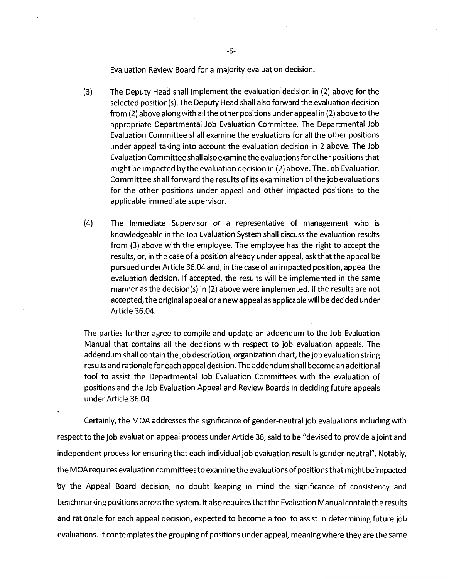Evaluation Review Board for a majority evaluation decision.

- (3) The Deputy Head shall implement the evaluation decision in (2) above for the selected position(s). The Deputy Head shall also forward the evaluation decision from (2) above along with all the other positions under appeal in (2) above to the appropriate Departmental Job Evaluation Committee. The Departmental Job Evaluation Committee shall examine the evaluations for all the other positions under appeal taking into account the evaluation decision in 2 above. The Job Evaluation Committee shall also examine the evaluations for other positions that might be impacted by the evaluation decision in (2) above. The Job Evaluation Committee shall forward the results of its examination of the job evaluations for the other positions under appeal and other impacted positions to the applicable immediate supervisor.
- (4) The Immediate Supervisor or a representative of management who is knowledgeable in the Job Evaluation System shall discuss the evaluation results from (3) above with the employee. The employee has the right to accept the results, or, in the case of a position already under appeal, ask that the appeal be pursued under Article 36.04 and, in the case of an impacted position, appeal the evaluation decision. If accepted, the results will be implemented in the same manner as the decision(s) in (2) above were implemented. If the results are not accepted, the original appeal or a new appeal as applicable will be decided under Article 36.04.

The parties further agree to compile and update an addendum to the Job Evaluation Manual that contains all the decisions with respect to job evaluation appeals. The addendum shall contain the job description, organization chart, the job evaluation string results and rationale for each appeal decision. The addendum shall become an additional tool to assist the Departmental Job Evaluation Committees with the evaluation of positions and the Job Evaluation Appeal and Review Boards in deciding future appeals under Article 36.04

Certainly, the MOA addresses the significance of gender-neutral job evaluations including with respect to the job evaluation appeal process under Article 36, said to be "devised to provide a joint and independent process for ensuring that each individual job evaluation result is gender-neutral". Notably, the MOA requires evaluation committees to examine the evaluations of positions that might be impacted by the Appeal Board decision, no doubt keeping in mind the significance of consistency and benchmarking positions across the system. It also requires that the Evaluation Manual contain the results and rationale for each appeal decision, expected to become a tool to assist in determining future job evaluations. It contemplates the grouping of positions under appeal, meaning where they are the same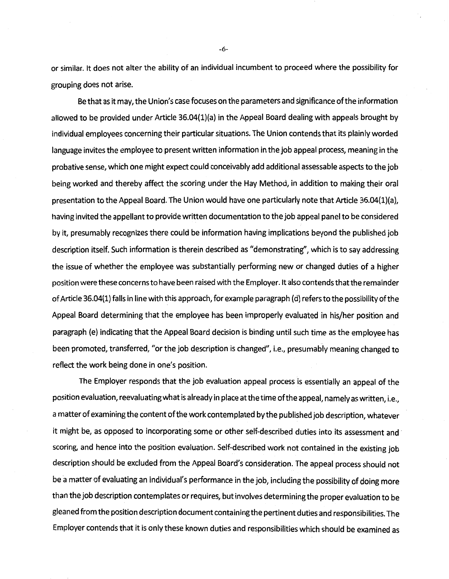or similar. It does not alter the ability of an individual incumbent to proceed where the possibility for grouping does not arise.

Be that as it may, the Union's case focuses on the parameters and significance of the information allowed to be provided under Article 36.04(1)(a) in the Appeal Board dealing with appeals brought by individual employees concerning their particular situations. The Union contends that its plainly worded language invites the employee to present written information in the job appeal process, meaning in the probative sense, which one might expect could conceivably add additional assessable aspects to the job being worked and thereby affect the scoring under the Hay Method, in addition to making their oral presentation to the Appeal Board. The Union would have one particularly note that Article 36.04(1)(a), having invited the appellant to provide written documentation to the job appeal panel to be considered by it, presumably recognizes there could be information having implications beyond the published job description itself. Such information is therein described as "demonstrating'', which is to say addressing the issue of whether the employee was substantially performing new or changed duties of a higher position were these concerns to have been raised with the Employer. It also contends that the remainder of Article 36.04(1) falls in line with this approach, for example paragraph (d) refers to the possibility of the Appeal Board determining that the employee has been improperly evaluated in his/her position and paragraph (e) indicating that the Appeal Board decision is binding until such time as the employee has been promoted, transferred, "or the job description is changed", i.e., presumably meaning changed to reflect the work being done in one's position.

The Employer responds that the job evaluation appeal process is essentially an appeal of the position evaluation, reevaluating what is already in place at the time of the appeal, namely as written, i.e., a matter of examining the content of the work contemplated by the published job description, whatever it might be, as opposed to incorporating some or other self-described duties into its assessment and scoring, and hence into the position evaluation. Self-described work not contained in the existing job description should be excluded from the Appeal Board's consideration. The appeal process should not be a matter of evaluating an individual's performance in the job, including the possibility of doing more than the job description contemplates or requires, but involves determining the proper evaluation to be gleaned from the position description document containing the pertinent duties and responsibilities. The Employer contends that it is only these known duties and responsibilities which should be examined as

-6-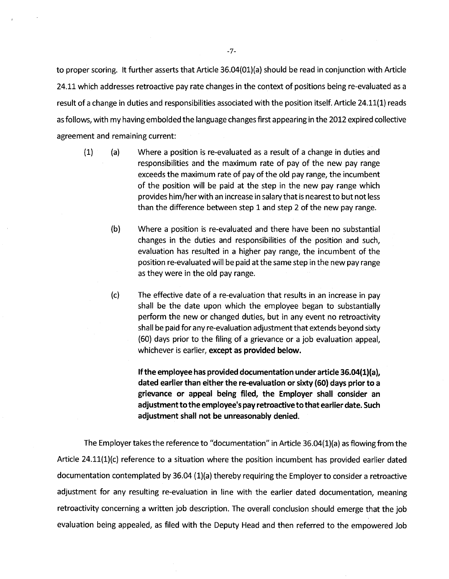to proper scoring. It further asserts that Article 36.04(01}(a) should be read in conjunction with Article 24.11 which addresses retroactive pay rate changes in the context of positions being re-evaluated as a result of a change in duties and responsibilities associated with the position itself. Article 24.11(1) reads as follows, with my having embolded the language changes first appearing in the 2012 expired collective agreement and remaining current:

- (1) (a) Where a position is re-evaluated as a result of a change in duties and responsibilities and the maximum rate of pay of the new pay range exceeds the maximum rate of pay of the old pay range, the incumbent of the position will be paid at the step in the new pay range which provides him/her with an increase in salary that is nearest to but not less than the difference between step 1 and step 2 of the new pay range.
	- (b) Where a position is re-evaluated and there have been no substantial changes in the duties and responsibilities of the position and such, evaluation has resulted in a higher pay range, the incumbent of the position re-evaluated will be paid at the same step in the new pay range as they were in the old pay range.
	- (c) The effective date of a re-evaluation that results in an increase in pay shall be the date upon which the employee began to substantially perform the new or changed duties, but in any event no retroactivity shall be paid for any re-evaluation adjustment that extends beyond sixty (60) days prior to the filing of a grievance or a job evaluation appeal, whichever is earlier, **except as provided below.**

**If the employee has provided documentation under article 36.04(1}(a), dated earlier than either the re-evaluation or sixty (60) days prior to a grievance or appeal being filed, the Employer shall consider an adjustment to the employee's pay retroactive to that earlier date. Such adjustment shall not be unreasonably denied.** 

The Employer takes the reference to "documentation" in Article 36.04(1)(a) as flowing from the Article 24.11(1)(c) reference to a situation where the position incumbent has provided earlier dated documentation contemplated by 36.04 (1)(a) thereby requiring the Employer to consider a retroactive adjustment for any resulting re-evaluation in line with the earlier dated documentation, meaning retroactivity concerning a written job description. The overall conclusion should emerge that the job evaluation being appealed, as filed with the Deputy Head and then referred to the empowered Job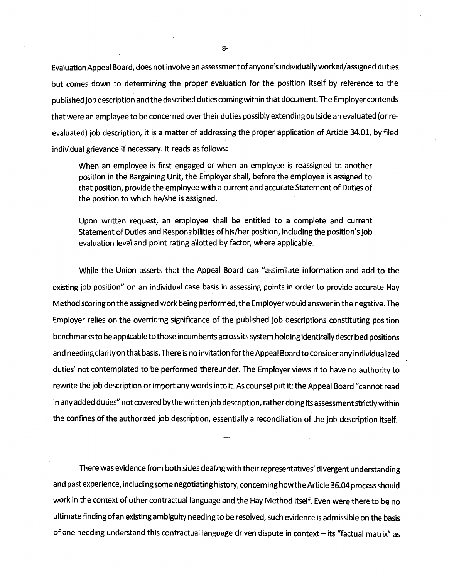Evaluation Appeal Board, does not involve an assessment of anyone's individually worked/ assigned duties but comes down to determining the proper evaluation for the position itself by reference to the published job description and the described duties coming within that document. The Employer contends that were an employee to be concerned over their duties possibly extending outside an evaluated (or reevaluated) job description, it is a matter of addressing the proper application of Article 34.01, by filed individual grievance if necessary. It reads as follows:

When an employee is first engaged or when an employee is reassigned to another position in the Bargaining Unit, the Employer shall, before the employee is assigned to that position, provide the employee with a current and accurate Statement of Duties of the position to which he/she is assigned.

Upon written request, an employee shall be entitled to a complete and current Statement of Duties and Responsibilities of his/her position, including the position's job evaluation level and point rating allotted by factor, where applicable.

While the Union asserts that the Appeal Board can "assimilate information and add to the existing job position" on an individual case basis in assessing points in order to provide accurate Hay Method scoring on the assigned work being performed, the Employer would answer in the negative. The Employer relies on the overriding significance of the published job descriptions constituting position benchmarks to be applicable to those incumbents across its system holding identically described positions and needing clarity on that basis. There is no invitation for the Appeal Board to consider any individualized duties' not contemplated to be performed thereunder. The Employer views it to have no authority to rewrite the job description or import any words into it. As counsel put it: the Appeal Board "cannot read in any added duties" not covered by the written job description, rather doing its assessment strictly within the confines of the authorized job description, essentially a reconciliation of the job description itself.

....

There was evidence from both sides dealing with their representatives' divergent understanding and past experience, including some negotiating history, concerning how the Article 36.04 process should work in the context of other contractual language and the Hay Method itself. Even were there to be no ultimate finding of an existing ambiguity needing to be resolved, such evidence is admissible on the basis of one needing understand this contractual language driven dispute in context -- its "factual matrix" as

-8-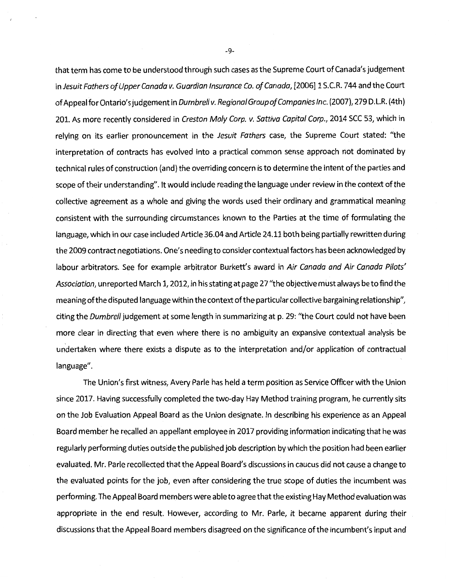that term has come to be understood through such cases as the Supreme Court of Canada's judgement in Jesuit Fathers of Upper Canada v. Guardian Insurance Co. of Canada, [2006] 1 S.C.R. 7 44 and the Court of Appeal for Ontario's judgement in Dumbrell v. Regional Group of Companies Inc. {2007), 279 D.L.R. (4th) 201. As more recently considered in Creston Moly Corp. v. Sattiva Capital Corp., 2014 SCC 53, which in relying on its earlier pronouncement in the *Jesuit Fathers* case, the Supreme Court stated: "the interpretation of contracts has evolved into a practical common sense approach not dominated by technical rules of construction (and) the overriding concern is to determine the intent of the parties and scope of their understanding". It would include reading the language under review in the context of the collective agreement as a whole and giving the words used their ordinary and grammatical meaning consistent with the surrounding circumstances known to the Parties at the time of formulating the language, which in our case included Article 36.04 and Article 24.11 both being partially rewritten during the 2009 contract negotiations. One's needing to consider contextual factors has been acknowledged by labour arbitrators. See for example arbitrator Burkett's award in Air Canada and Air Canada Pilots' Association, unreported March 1, 2012, in his stating at page 27 "the objective must always be to find the meaning of the disputed language within the context of the particular collective bargaining relationship", citing the Dumbrel/ judgement at some length in summarizing at p. 29: "the Court could not have been more clear in directing that even where there is no ambiguity an expansive contextual analysis be undertaken where there exists a dispute as to the interpretation and/or application of contractual language".

The Union's first witness, Avery Parle has held a term position as Service Officer with the Union since 2017. Having successfully completed the two-day Hay Method training program, he currently sits on the Job Evaluation Appeal Board as the Union designate. In describing his experience as an Appeal Board member he recalled an appellant employee in 2017 providing information indicating that he was regularly performing duties outside the published job description by which the position had been earlier evaluated. Mr. Parle recollected that the Appeal Board's discussions in caucus did not cause a change to the evaluated points for the job, even after considering the true scope of duties the incumbent was performing. The Appeal Board members were able to agree that the existing Hay Method evaluation was appropriate in the end result. However, according to Mr. Parle, it became apparent during their discussions that the Appeal Board members disagreed on the significance of the incumbent's input and

-9-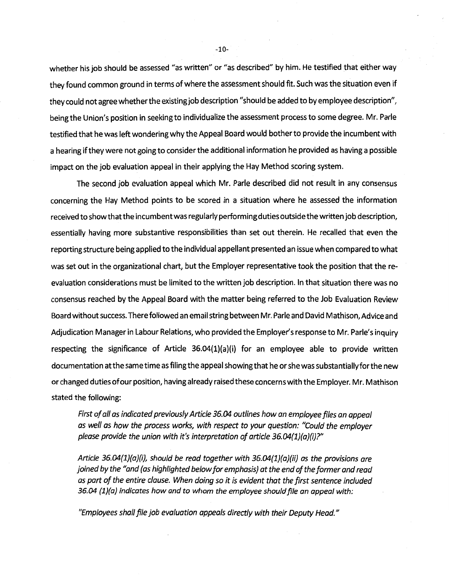whether his job should be assessed "as written" or "as described" by him. He testified that either way they found common ground in terms of where the assessment should fit. Such was the situation even if they could not agree whether the existingjob description "should be added to by employee description", being the Union's position in seeking to individualize the assessment process to some degree. Mr. Parle testified that he was left wondering why the Appeal Board would bother to provide the incumbent with a hearing if they were not going to consider the additional information he provided as having a possible impact on the job evaluation appeal in their applying the Hay Method scoring system.

The second job evaluation appeal which Mr. Parle described did not result in any consensus concerning the Hay Method points to be scored in a situation where he assessed the information received to show that the incumbent was regularly performing duties outside the written job description, essentially having more substantive responsibilities than set out therein. He recalled that even the reporting structure being applied to the individual appellant presented an issue when compared to what was set out in the organizational chart, but the Employer representative took the position that the reevaluation considerations must be limited to the written job description. In that situation there was no consensus reached by the Appeal Board with the matter being referred to the Job Evaluation Review Board without success. There followed an email string between Mr. Parle and David Mathison, Advice and Adjudication Manager in Labour Relations, who provided the Employer's response to Mr. Parle's inquiry respecting the significance of Article 36.04(1)(a)(i) for an employee able to provide written documentation at the same time as filing the appeal showing that he or she was substantially for the new or changed duties of our position, having already raised these concerns with the Employer. Mr. Mathison stated the following:

*First of all as indicated previously Article 36.04 outlines how an employee files an appeal as well as how the process works, with respect to your question: "Could the employer please provide the union with it's interpretation of article 36.04(1)(a)(i)?"* 

*Article 36.04{1}(a)(i), should be read together with 36.04(1}(a)(ii) as the provisions are joined by the "and (as highlighted below for emphasis) at the end of the former and read as part of the entire clause. When doing so it is evident that the first sentence included 36.04 {l)(a) indicates how and to whom the employee should file an appeal with:* 

*"Employees shall file job evaluation appeals directly with their Deputy Head."* 

-10-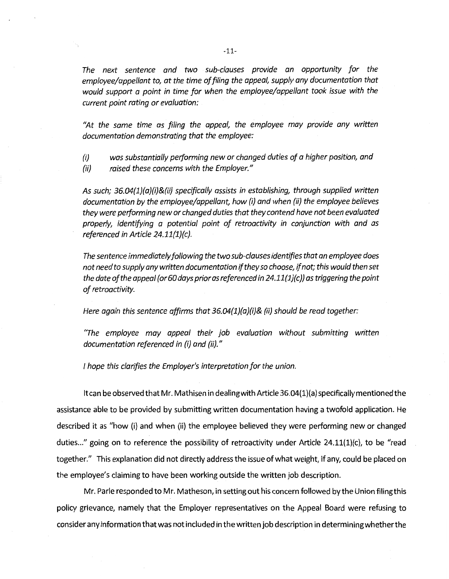*The next sentence and two sub-clauses provide an opportunity for the employee/appellant to, at the time of filing the appeal, supply any documentation that would support a point in time for when the employee/appellant took issue with the current point rating or evaluation:* 

*''At the same time as filing the appeal, the employee may provide any written documentation demonstrating that the employee:* 

- (i) *was substantially performing new or changed duties of a higher position, and*
- *(ii) raised these concerns with the Employer."*

*As such; 36.04(1}(a)(i}&(ii) specifically assists in establishing, through supplied written documentation by the employee/appellant, how* (i) *and when {ii) the employee believes they were performing new or changed duties that they contend have not been evaluated properly, identifying a potential point of retroactivity in conjunction with and as referenced in Article 24.11(1}(c).* 

*The sentence immediately following the two sub-clauses identifies that an employee does not need to supply any written documentation if they so choose, if not; this would then set the date of the appeal (or* 60 *days prior as referenced in 24.11 (1)( c)) as triggering the point of retroactivity.* 

*Here again this sentence affirms that 36.04(1)(a)(i)& (ii) should be read together:* 

*'The employee may appeal their job evaluation without submitting written documentation referenced in (i) and* (ii)."

*I hope this clanfies the Employer's interpretation for the union.* 

It can be observed that Mr. Mathisen in dealing with Article 36.04(1)(a) specifically mentioned the assistance able to be provided by submitting written documentation having a twofold application. He described it as "how (i) and when (ii) the employee believed they were performing new or changed duties..." going on to reference the possibility of retroactivity under Article  $24.11(1)(c)$ , to be "read together." This explanation did not directly address the issue of what weight, if any, could be placed on the employee's claiming to have been working outside the written job description.

Mr. Parle responded to Mr. Matheson, in setting out his concern followed by the Union filing this policy grievance, namely that the Employer representatives on the Appeal Board were refusing to consider any information that was not included in the written job description in determining whether the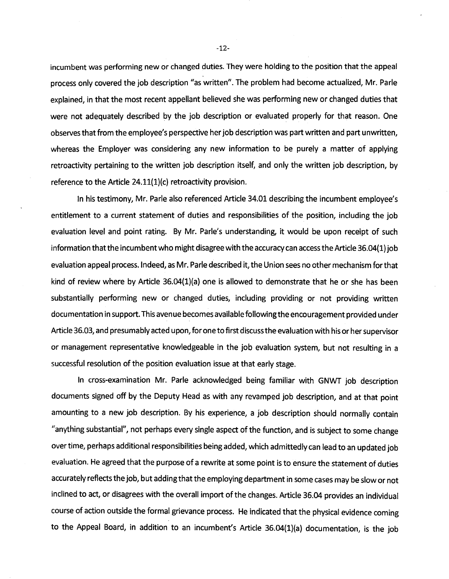incumbent was performing new or changed duties. They were holding to the position that the appeal process only covered the job description "as written". The problem had become actualized, Mr. Parle explained, in that the most recent appellant believed she was performing new or changed duties that were not adequately described by the job description or evaluated properly for that reason. One observes that from the employee's perspective her job description was part written and part unwritten, whereas the Employer was considering any new information to be purely a matter of applying retroactivity pertaining to the written job description itself, and only the written job description, by reference to the Article  $24.11(1)(c)$  retroactivity provision.

In his testimony, Mr. Parle also referenced Article 34.01 describing the incumbent employee's entitlement to a current statement of duties and responsibilities of the position, including the job evaluation level and point rating. By Mr. Parle's understanding, it would be upon receipt of such information that the incumbent who might disagree with the accuracy can access the Article 36.04(1) job evaluation appeal process. Indeed, as Mr. Parle described it, the Union sees no other mechanism forthat kind of review where by Article 36.04(1)(a) one is allowed to demonstrate that he or she has been substantially performing new or changed duties, including providing or not providing written documentation in support. This avenue becomes available following the encouragement provided under Article 36.03, and presumably acted upon, for one to first discuss the evaluation with his or her supervisor or management representative knowledgeable in the job evaluation system, but not resulting in a successful resolution of the position evaluation issue at that early stage.

In cross-examination Mr. Parle acknowledged being familiar with GNWT job description documents signed off by the Deputy Head as with any revamped job description, and at that point amounting to a new job description. By his experience, a job description should normally contain "anything substantial", not perhaps every single aspect of the function, and is subject to some change over time, perhaps additional responsibilities being added, which admittedly can lead to an updated job evaluation. He agreed that the purpose of a rewrite at some point is to ensure the statement of duties accurately reflects the job, but adding that the employing department in some cases may be slow or not inclined to act, or disagrees with the overall import of the changes. Article 36.04 provides an individual course of action outside the formal grievance process. He indicated that the physical evidence coming to the Appeal Board, in addition to an incumbent's Article 36.04(1)(a) documentation, is the job

-12-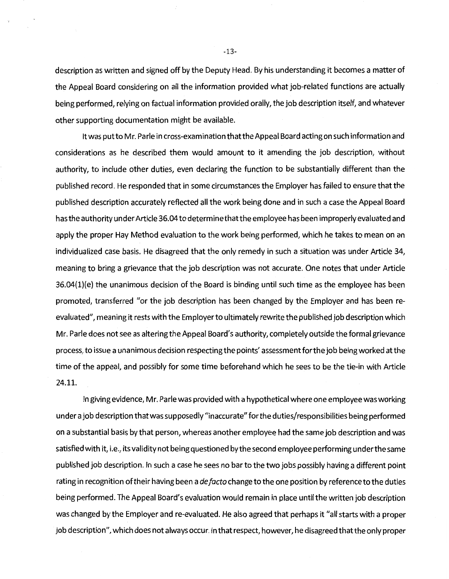description as written and signed off by the Deputy Head. By his understanding it becomes a matter of the Appeal Board considering on all the information provided what job-related functions are actually being performed, relying on factual information provided orally, the job description itself, and whatever other supporting documentation might be available.

It was put to Mr. Parle in cross-examination that the Appeal Board acting on such information and considerations as he described them would amount to it amending the job description, without authority, to include other duties, even declaring the function to be substantially different than the published record. He responded that in some circumstances the Employer has failed to ensure that the published description accurately reflected all the work being done and in such a case the Appeal Board has the authority under Article 36.04 to determine that the employee has been improperly evaluated and apply the proper Hay Method evaluation to the work being performed, which he takes to mean on an individualized case basis. He disagreed that the only remedy in such a situation was under Article 34, meaning to bring a grievance that the job description was not accurate. One notes that under Article 36.04(1)(e) the unanimous decision of the Board is binding until such time as the employee has been promoted, transferred "or the job description has been changed by the Employer and has been reevaluated", meaning it rests with the Employer to ultimately rewrite the published job description which Mr. Parle does not see as altering the Appeal Board's authority, completely outside the formal grievance process, to issue a unanimous decision respecting the points' assessment for the job being worked at the time of the appeal, and possibly for some time beforehand which he sees to be the tie-in with Article 24.11.

In giving evidence, Mr. Parle was provided with a hypothetical where one employee was working under a job description that was supposedly "inaccurate" for the duties/responsibilities being performed on a substantial basis by that person, whereas another employee had the same job description and was satisfied with it, i.e., its validity not being questioned by the second employee performing under the same published job description. In such a case he sees no bar to the two jobs possibly having a different point rating in recognition of their having been a *de facto* change to the one position by reference to the duties being performed. The Appeal Board's evaluation would remain in place until the written job description was changed by the Employer and re-evaluated. He also agreed that perhaps it "all starts with a proper job description", which does not always occur. In that respect, however, he disagreed that the only proper

-13-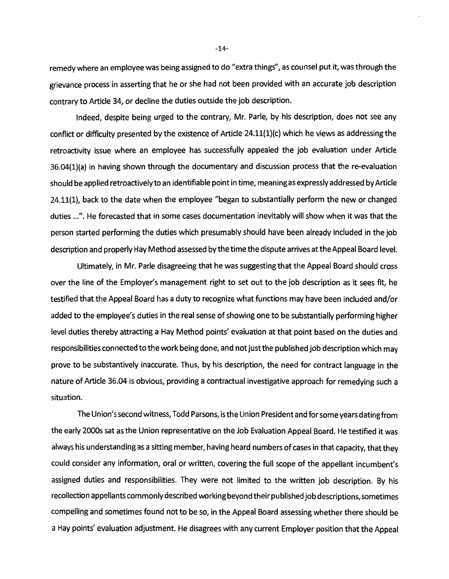remedy where an employee was being assigned to do "extra things", as counsel put it, was through the grievance process in asserting that he or she had not been provided with an accurate job description contrary to Article 34, or decline the duties outside the job description.

Indeed, despite being urged to the contrary, Mr. Parle, by his description, does not see any conflict or difficulty presented by the existence of Article  $24.11(1)(c)$  which he views as addressing the retroactivity issue where an employee has successfully appealed the job evaluation under Article 36.04(1)(a) in having shown through the documentary and discussion process that the re-evaluation should be applied retroactively to an identifiable point in time, meaning as expressly addressed by Article 24.11(1), back to the date when the employee "began to substantially perform the new or changed duties ...". He forecasted that in some cases documentation inevitably will show when it was that the person started performing the duties which presumably should have been already included in the job description and properly Hay Method assessed by the time the dispute arrives at the Appeal Board level.

Ultimately, in Mr. Parle disagreeing that he was suggesting that the Appeal Board should cross over the line of the Employer's management right to set out to the job description as it sees fit, he testified that the Appeal Board has a duty to recognize what functions may have been included and/or added to the employee's duties in the real sense of showing one to be substantially performing higher level duties thereby attracting a Hay Method points' evaluation at that point based on the duties and responsibilities connected to the work being done, and not just the published job description which may prove to be substantively inaccurate. Thus, by his description, the need for contract language in the nature of Article 36.04 is obvious, providing a contractual investigative approach for remedying such a situation.

The Union's second witness, Todd Parsons, is the Union President and for some years dating from the early 2000s sat as the Union representative on the Job Evaluation Appeal Board. He testified it was always his understanding as a sitting member, having heard numbers of cases in that capacity, that they could consider any information, oral or written, covering the full scope of the appellant incumbent's assigned duties and responsibilities. They were not limited to the written job description. By his recollection appellants commonly described working beyond their published job descriptions, sometimes compelling and sometimes found not to be so, in the Appeal Board assessing whether there should be a Hay points' evaluation adjustment. He disagrees with any current Employer position that the Appeal

-14-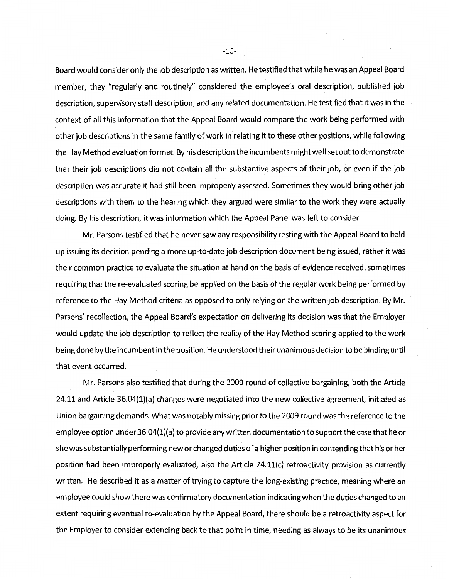Board would consider only the job description as written. He testified that while he was an Appeal Board member, they "regularly and routinely'' considered the employee's oral description, published job description, supervisory staff description, and any related documentation. He testified that it was in the context of all this information that the Appeal Board would compare the work being performed with other job descriptions in the same family of work in relating it to these other positions, while following the Hay Method evaluation format. By his description the incumbents might well set out to demonstrate that their job descriptions did not contain all the substantive aspects of their job, or even if the job description was accurate it had still been improperly assessed. Sometimes they would bring other job descriptions with them to the hearing which they argued were similar to the work they were actually doing. By his description, it was information which the Appeal Panel was left to consider.

Mr. Parsons testified that he never saw any responsibility resting with the Appeal Board to hold up issuing its decision pending a more up-to-date job description document being issued, rather it was their common practice to evaluate the situation at hand on the basis of evidence received, sometimes requiring that the re-evaluated scoring be applied on the basis of the regular work being performed by reference to the Hay Method criteria as opposed to only relying on the written job description. By Mr. Parsons' recollection, the Appeal Board's expectation on delivering its decision was that the Employer would update the job description to reflect the reality of the Hay Method scoring applied to the work being done by the incumbent in the position. He understood their unanimous decision to be binding until that event occurred.

Mr. Parsons also testified that during the 2009 round of collective bargaining, both the Article 24.11 and Article 36.04{1}(a) changes were negotiated into the new collective agreement, initiated as Union bargaining demands. What was notably missing prior to the 2009 round was the reference to the employee option under 36.04{1)(a) to provide any written documentation to support the case that he or she was substantially performing new or changed duties of a higher position in contending that his or her position had been improperly evaluated, also the Article 24.ll(c) retroactivity provision as currently written. He described it as a matter of trying to capture the long-existing practice, meaning where an employee could show there was confirmatory documentation indicating when the duties changed to an extent requiring eventual re-evaluation by the Appeal Board, there should be a retroactivity aspect for the Employer to consider extending back to that point in time, needing as always to be its unanimous

-15-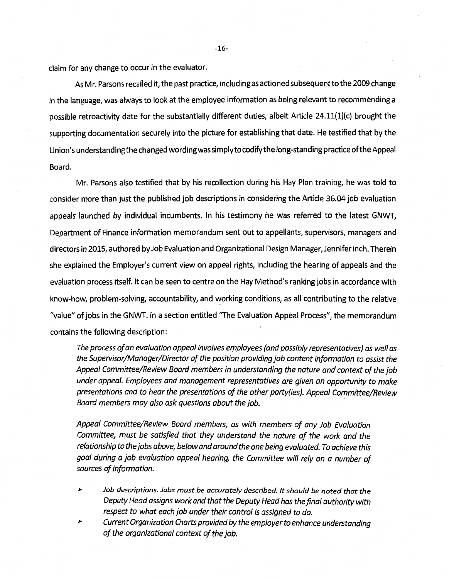claim for any change to occur in the evaluator.

As Mr. Parsons recalled it, the past practice, including as actioned subsequent to the 2009 change in the language, was always to look at the employee information as being relevant to recommending a possible retroactivity date for the substantially different duties, albeit Article 24.11(1)(c) brought the supporting documentation securely into the picture for establishing that date. He testified that by the Union's understandingthe changed wordingwassimplyto codify the long-standing practice of the Appeal Board.

Mr. Parsons also testified that by his recollection during his Hay Plan training, he was told to consider more than just the published job descriptions in considering the Article 36.04 job evaluation appeals launched by individual incumbents. In his testimony he was referred to the latest GNWT, Department of Finance information memorandum sent out to appellants, supervisors, managers and directors in 2015, authored by Job Evaluation and Organizational Design Manager, Jennifer Inch. Therein she explained the Employer's current view on appeal rights, including the hearing of appeals and the evaluation process itself. It can be seen to centre on the Hay Method's ranking jobs in accordance with know-how, problem-solving, accountability, and working conditions, as all contributing to the relative "value" of jobs in the GNWT. In a section entitled "The Evaluation Appeal Process", the memorandum contains the following description:

*The process of an evaluation appeal involves employees (and possibly representatives) as well as the Supervisor/Manager/Director of the position providing job content information to assist the Appeal Committee/Review Board members in understanding the nature and context of the job under appeal. Employees and management representatives are given an opportunity to make presentations and to hear the presentations of the other party(ies). Appeal Committee/Review Board members may also ask questions about the job.* 

*Appeal Committee/Review Board members, as with members of any Job Evaluation Committee, must be satisfied that they understand the nature of the work and the relationship to the jobs above, below and around the one being evaluated. To achieve this goal during a job evaluation appeal hearing, the Committee* will *rely on a number of sources of information.* 

- *Job descriptions. Jobs must be accurately described. It should be noted that the Deputy Head assigns work and that the Deputy Head has the final authority with respect to what each job under their control is assigned to do.*
- *Current Organization Charts provided by the employer to enhance understanding*  ▶ *of the organizational context of the job.*

-16-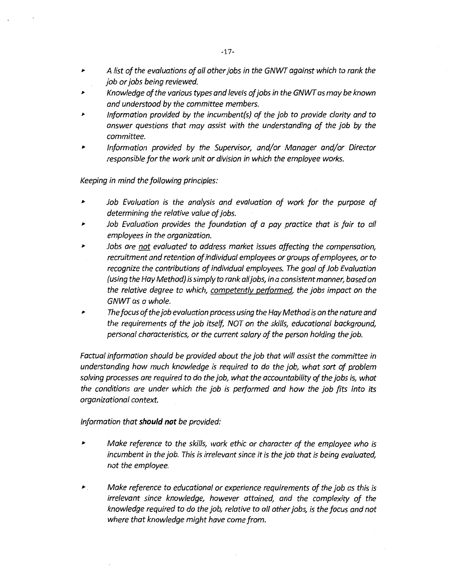- *A list of the evaluations of all other jobs in the GNWT against which to rank the*   $\blacktriangleright$ *job or jobs being reviewed.*
- *Knowledge of the various types and levels of jobs in the GNWT as may be known and understood by the committee members.*
- *Information provided by the incumbent(s) of the job to provide clarity and to answer questions that may assist with the understanding of the job by the committee.*
- *Information provided by the Supervisor, and/or Manager and/or Director responsible for the work unit or division in which the employee works.*

*Keeping in mind the following principles:* 

- ,,. *Job Evaluation is the analysis and evaluation of work for the purpose of determining the relative value of jobs.*
- Job Evaluation provides the foundation of a pay practice that is fair to all  $\blacktriangleright$ *employees in the organization.*
- $\blacktriangleright$ *Jobs are not evaluated to address market issues affecting the compensation, recruitment and retention of individual employees or groups of employees, or to recognize the contributions of individual employees. The goal of Job Evaluation (using the Hay Method) is simply to rank all jobs, in a consistent manner, based on the relative degree to which, competently performed, the jobs impact on the GNWT as a whole.*
- *The focus of the job evaluation process using the Hay Method is on the nature and the requirements of the job itself, NOT on the skills, educational background, personal characteristics, or the current salary of the person holding the job.*

*Factual information should be provided about the job that wif/ assist the committee in understanding how much knowledge is required to do the job, what sort of problem solving processes are required to do the job, what the accountability of the jobs is, what the conditions are under which the job is performed and how the job fits into its organizational context.* 

*Information that* **should not** *be provided:* 

- Make reference to the skills, work ethic or character of the employee who is *incumbent in the job. This is irrelevant since it is the job that is being evaluated, not the employee.*
- ,,. . *Make reference to educational or experience requirements of the job as this is irrelevant since knowledge, however attained, and the complexity of the knowledge required to do the job, relative to all other jobs, is the focus and not where that knowledge might have come from.*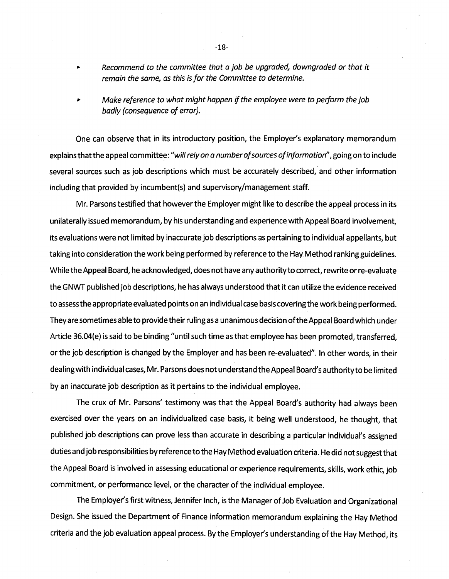Recommend to the committee that a job be upgraded, downgraded or that it *remain the same, as this is for the Committee to determine.* 

*Make reference to what might happen* if *the employee were to perform the job badly (consequence of error).* 

One can observe that in its introductory position, the Employer's explanatory memorandum explains that the appeal committee: *"will rely on a number of sources of information",* going on to include several sources such as job descriptions which must be accurately described, and other information including that provided by incumbent(s) and supervisory/management staff.

Mr. Parsons testified that however the Employer might like to describe the appeal process in its unilaterally issued memorandum, by his understanding and experience with Appeal Board involvement, its evaluations were not limited by inaccurate job descriptions as pertaining to individual appellants, but taking into consideration the work being performed by reference to the Hay Method ranking guidelines. While the Appeal Board, he acknowledged, does not have any authority to correct, rewrite or re-evaluate the GNWT published job descriptions, he has always understood that it can utilize the evidence received to assess the appropriate evaluated points on an individual case basis covering the work being performed. They are sometimes able to provide their ruling as a unanimous decision of the Appeal Board which under Article 36.04(e) is said to be binding "until such time as that employee has been promoted, transferred, or the job description is changed by the Employer and has been re-evaluated". In other words, in their dealing with individual cases, Mr. Parsons does not understand the Appeal Board's authority to be limited by an inaccurate job description as it pertains to the individual employee.

The crux of Mr. Parsons' testimony was that the Appeal Board's authority had always been exercised over the years on an individualized case basis, it being well understood, he thought, that published job descriptions can prove less than accurate in describing a particular individual's assigned duties and job responsibilities by reference to the Hay Method evaluation criteria. He did not suggest that the Appeal Board is involved in assessing educational or experience requirements, skills, work ethic, job commitment, or performance level, or the character of the individual employee.

The Employer's first witness, Jennifer Inch, is the Manager of Job Evaluation and Organizational Design. She issued the Department of Finance information memorandum explaining the Hay Method criteria and the job evaluation appeal process. By the Employer's understanding of the Hay Method, its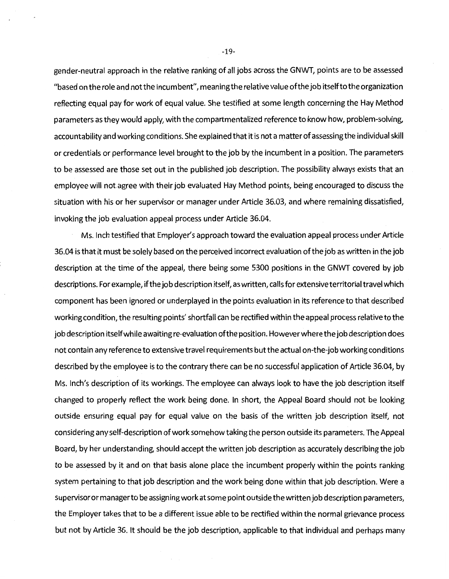gender-neutral approach in the relative ranking of all jobs across the GNWT, points are to be assessed "based on the role and not the incumbent", meaningthe relative value of the job itself to the organization reflecting equal pay for work of equal value. She testified at some length concerning the Hay Method parameters as they would apply, with the compartmentalized reference to know how, problem-solving, accountability and working conditions. She explained that it is not a matter of assessing the individual skill or credentials or performance level brought to the job by the incumbent in a position. The parameters to be assessed are those set out in the published job description. The possibility always exists that an employee will not agree with their job evaluated Hay Method points, being encouraged to discuss the situation with his or her supervisor or manager under Article 36.03, and where remaining dissatisfied, invoking the job evaluation appeal process under Article 36.04.

Ms. Inch testified that Employer's approach toward the evaluation appeal process under Article 36.04 is that it must be solely based on the perceived incorrect evaluation of the job as written in the job description at the time of the appeal, there being some 5300 positions in the GNWT covered by job descriptions. For example, if the job description itself, as written, calls for extensive territorial travel which component has been ignored or underplayed in the points evaluation in its reference to that described working condition, the resulting points' shortfall can be rectified within the appeal process relative to the job description itself while awaiting re-evaluation of the position. However where the job description does not contain any reference to extensive travel requirements but the actual on-the-job working conditions described by the employee is to the contrary there can be no successful application of Article 36.04, by Ms. Inch's description of its workings. The employee can always look to have the job description itself changed to properly reflect the work being done. In short, the Appeal Board should not be looking outside ensuring equal pay for equal value on the basis of the written job description itself, not considering any self-description of work somehow taking the person outside its parameters. The Appeal Board, by her understanding, should accept the written job description as accurately describing the job to be assessed by it and on that basis alone place the incumbent properly within the points ranking system pertaining to that job description and the work being done within that job description. Were a supervisor or manager to be assigning work at some point outside the written job description parameters, the Employer takes that to be a different issue able to be rectified within the normal grievance process but not by Article 36. It should be the job description, applicable to that individual and perhaps many

-19-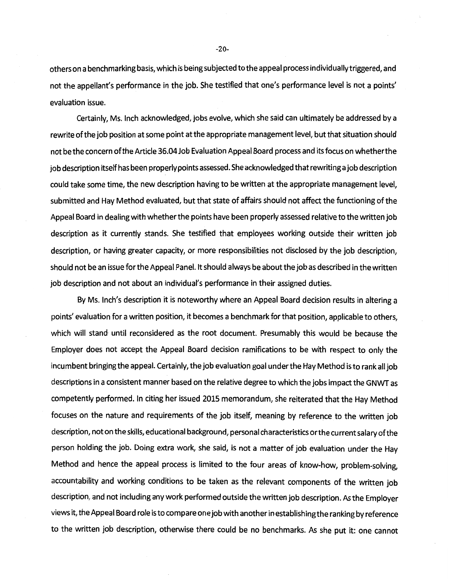others on a benchmarking basis, which is being subjected to the appeal process individually triggered, and not the appellant's performance in the job. She testified that one's performance level is not a points' evaluation issue.

Certainly, Ms. Inch acknowledged, jobs evolve, which she said can ultimately be addressed by a rewrite of the job position at some point at the appropriate management level, but that situation should not be the concern of the Article 36.04Job Evaluation Appeal Board process and its focus on whether the job description itself has been properly points assessed. She acknowledged that rewriting a job description could take some time, the new description having to be written at the appropriate management level, submitted and Hay Method evaluated, but that state of affairs should not affect the functioning of the Appeal Board in dealing with whether the points have been properly assessed relative to the written job description as it currently stands. She testified that employees working outside their written job description, or having greater capacity, or more responsibilities not disclosed by the job description, should not be an issue for the Appeal Panel. It should always be about the job as described in the written job description and not about an individual's performance in their assigned duties.

By Ms. Inch's description it is noteworthy where an Appeal Board decision results in altering a points' evaluation for a written position, it becomes a benchmark for that position, applicable to others, which will stand until reconsidered as the root document. Presumably this would be because the Employer does not accept the Appeal Board decision ramifications to be with respect to only the incumbent bringing the appeal. Certainly, the job evaluation goal under the Hay Method is to rank all job descriptions in a consistent manner based on the relative degree to which the jobs impact the GNWT as competently performed. In citing her issued 2015 memorandum, she reiterated that the Hay Method focuses on the nature and requirements of the job itself, meaning by reference to the written job description, not on the skills, educational background, personal characteristics or the current salary of the person holding the job. Doing extra work, she said, is not a matter of job evaluation under the Hay Method and hence the appeal process is limited to the four areas of know-how, problem-solving, accountability and working conditions to be taken as the relevant components of the written job description, and not including any work performed outside the written job description. As the Employer views it, the Appeal Board role is to compare one job with another in establishing the ranking by reference to the written job description, otherwise there could be no benchmarks. As she put it: one cannot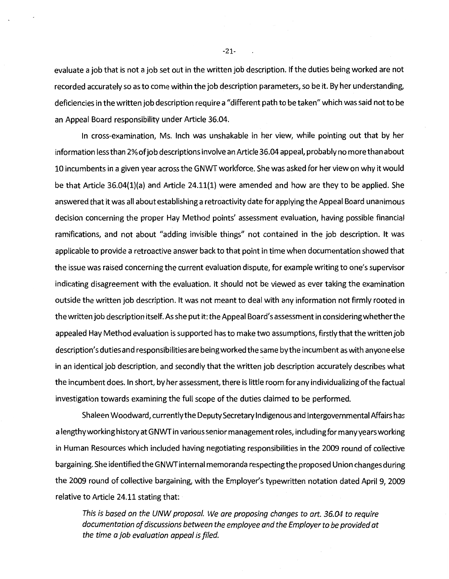evaluate a job that is not a job set out in the written job description. If the duties being worked are not recorded accurately so as to come within the job description parameters, so be it. By her understanding, deficiencies in the written job description require a "different path to be taken" which was said not to be an Appeal Board responsibility under Article 36.04.

In cross-examination, Ms. Inch was unshakable in her view, while pointing out that by her information less than 2% of job descriptions involve an Article 36.04 appeal, probably no more than about 10 incumbents in a given year across the GNWT workforce. She was asked for her view on why it would be that Article 36.04(1)(a) and Article 24.11(1) were amended and how are they to be applied. She answered that it was all about establishing a retroactivity date for applying the Appeal Board unanimous decision concerning the proper Hay Method points' assessment evaluation, having possible financial ramifications, and not about "adding invisible things" not contained in the job description. It was applicable to provide a retroactive answer back to that point in time when documentation showed that the issue was raised concerning the current evaluation dispute, for example writing to one's supervisor indicating disagreement with the evaluation. It should not be viewed as ever taking the examination outside the written job description. It was not meant to deal with any information not firmly rooted in the written job description itself. As she put it: the Appeal Board's assessment in considering whether the appealed Hay Method evaluation is supported has to make two assumptions, firstly that the written job description's duties and responsibilities are being worked the same by the incumbent as with anyone else in an identical job description, and secondly that the written job description accurately describes what the incumbent does. In short, by her assessment, there is little room for any individualizing of the factual investigation towards examining the full scope of the duties claimed to be performed.

Shaleen Woodward, currently the Deputy Secretary Indigenous and Intergovernmental Affairs has a lengthy working history at GNWT in various senior management roles, including for many years working in Human Resources which included having negotiating responsibilities in the 2009 round of collective bargaining. She identified the GNWT internal memoranda respecting the proposed Union changes during the 2009 round of collective bargaining, with the Employer's typewritten notation dated April 9, 2009 relative to Article 24.11 stating that:

This is based on the UNW proposal. We are proposing changes to art. 36.04 to require documentation of discussions between the employee and the Employer to be provided at the time a job evaluation appeal is filed.

-21-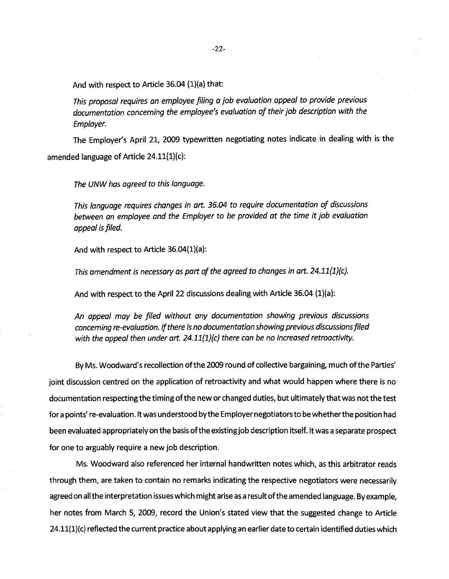And with respect to Article  $36.04$  (1)(a) that:

*This proposal requires an employee filing a job evaluation appeal to provide previous documentation concerning the employee's evaluation of their job description with the Employer.* 

The Employer's April 21, 2009 typewritten negotiating notes indicate in dealing with is the amended language of Article  $24.11(1)(c)$ :

*The UNW has agreed to this language.* 

*This language requires changes in art. 36.04 to require documentation of discussions between an employee and the Employer to be provided at the time it job evaluation appeal is filed.* 

And with respect to Article 36.04(1)(a):

*This amendment is necessary as part of the agreed to changes in art. 24.11{1){c).* 

And with respect to the April 22 discussions dealing with Article 36.04  $(1)(a)$ :

*An appeal may be filed without any documentation showing previous discussions concerning re-evaluation.* If *there is no documentation showing previous discussions filed with the appeal then under art. 24.11(1)(c) there can be no increased retroactivity.* 

By Ms. Woodward's recollection of the 2009 round of collective bargaining, much of the Parties' joint discussion centred on the application of retroactivity and what would· happen where there is no documentation respecting the timing of the new or changed duties, but ultimately that was not the test for a points' re-evaluation. It was understood by the Employer negotiators to be whether the position had been evaluated appropriately on the basis of the existing job description itself. It was a separate prospect for one to arguably require a new job description.

Ms. Woodward also referenced her internal handwritten notes which, as this arbitrator reads through them, are taken to contain no remarks indicating the respective negotiators were necessarily agreed on all the interpretation issues which might arise as a result of the amended language. By example, her notes from March 5, 2009, record the Union's stated view that the suggested change to Article 24.ll(l)(c) reflected the current practice about applying an earlier date to certain identified duties which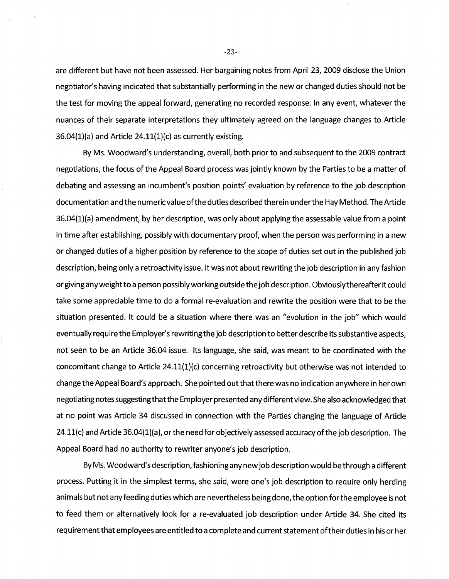are different but have not been assessed. Her bargaining notes from April 23, 2009 disclose the Union negotiator's having indicated that substantially performing in the new or changed duties should not be the test for moving the appeal forward, generating no recorded response. In any event, whatever the nuances of their separate interpretations they ultimately agreed on the language changes to Article  $36.04(1)(a)$  and Article  $24.11(1)(c)$  as currently existing.

By Ms. Woodward's understanding, overall, both prior to and subsequent to the 2009 contract negotiations, the focus of the Appeal Board process was jointly known by the Parties to be a matter of debating and assessing an incumbent's position points' evaluation by reference to the job description documentation and the numeric value of the duties described therein under the Hay Method. The Article 36.04(1)(a) amendment, by her description, was only about applying the assessable value from a point in time after establishing, possibly with documentary proof, when the person was performing in a new or changed duties of a higher position by reference to the scope of duties set out in the published job description, being only a retroactivity issue. It was not about rewriting the job description in any fashion or giving any weight to a person possibly working outside the job description. Obviously thereafter it could take some appreciable time to do a formal re-evaluation and rewrite the position were that to be the situation presented. It could be a situation where there was an "evolution in the job" which would eventually require the Employer's rewriting the job description to better describe its substantive aspects, not seen to be an Article 36.04 issue. Its language, she said, was meant to be coordinated with the concomitant change to Article 24.11 $(1)(c)$  concerning retroactivity but otherwise was not intended to change the Appeal Board's approach. She pointed out that there was no indication anywhere in her own negotiating notes suggesting that the Employer presented any different view. She also acknowledged that at no point was Article 34 discussed in connection with the Parties changing the language of Article 24.ll(c) and Article 36.04(1)(a), or the need for objectively assessed accuracy of the job description. The Appeal Board had no authority to rewriter anyone's job description.

By Ms. Woodward's description, fashioning any new job description would be through a different process. Putting it in the simplest terms, she said, were one's job description to require only herding animals but not any feeding duties which are nevertheless being done, the option forthe employee is not to feed them or alternatively look for a re-evaluated job description under Article 34. She cited its requirement that employees are entitled to a complete and current statement of their duties in his or her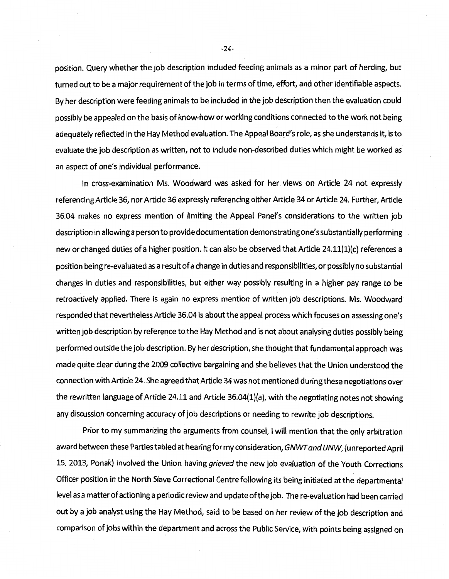position. Query whether the job description included feeding animals as a minor part of herding, but turned out to be a major requirement of the job in terms of time, effort, and other identifiable aspects. By her description were feeding animals to be included in the job description then the evaluation could possibly be appealed on the basis of know-how or working conditions connected to the work not being adequately reflected in the Hay Method evaluation. The Appeal Board's role, as she understands it, is to evaluate the job description as written, not to include non-described duties which might be worked as an aspect of one's individual performance.

In cross-examtnation Ms. Woodward was asked for her views on Article 24 not expressly referencing Article 36, nor Article 36 expressly referencing either Article 34 or Article 24. Further, Article 36.04 makes no express mention of limiting the Appeal Panel's considerations to the written job description in allowing a person to provide documentation demonstrating one's substantially performing new or changed duties of a higher position. It can also be observed that Article 24.11(1)(c) references a position being re-evaluated as a result of a change in duties and responsibilities, or possibly no substantial changes in duties and responsibilities, but either way possibly resulting in a higher pay range to be retroactively applied. There is again no express mention of written job descriptions. Ms. Woodward responded that nevertheless Article 36.04 is about the appeal process which focuses on assessing one's written job description by reference to the Hay Method and is not about analysing duties possibly being performed outside the job description. By her description, she thought that fundamental approach was made quite clear during the 2009 collective bargaining and she believes that the Union understood the connection with Article 24. She agreed that Article 34 was not mentioned du ring these negotiations over the rewritten language of Article 24.11 and Article 36.04(1)(a), with the negotiating notes not showing any discussion concerning accuracy of job descriptions or needing to rewrite job descriptions.

Prior to my summarizing the arguments from counsel, I will mention that the only arbitration award between these Parties tabled at hearing for my consideration, GNWT and UNW, (unreported April 15, 2013, Ponak) involved the Union having grieved the new job evaluation of the Youth Corrections Officer position in the North Slave Correctional Centre following its being initiated at the departmental level as a matter of actioning a periodic review and update of the job. The re-evaluation had been carried out by a job analyst using the Hay Method, said to be based on her review of the job description and comparison of jobs within the department and across the Public Service, with points being assigned on

-24-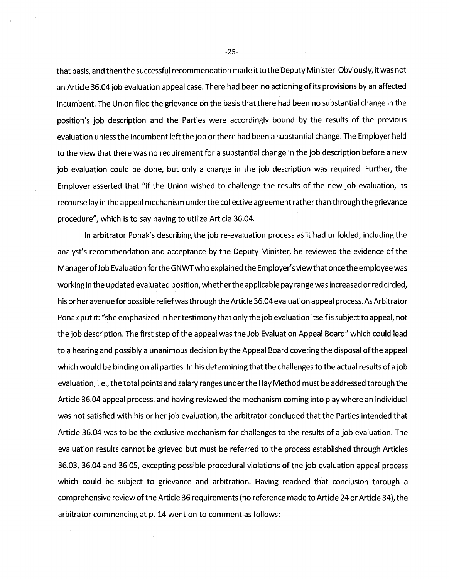that basis, and then the successful recommendation made it to the Deputy Minister. Obviously, it was not an Article 36.04 job evaluation appeal case. There had been no actioning of its provisions by an affected incumbent. The Union filed the grievance on the basis that there had been no substantial change in the position's job description and the Parties were accordingly bound by the results of the previous evaluation unless the incumbent left the job or there had been a substantial change. The Employer held to the view that there was no requirement for a substantial change in the job description before a new job evaluation could be done, but only a change in the job description was required. Further, the Employer asserted that "if the Union wished to challenge the results of the new job evaluation, its recourse lay in the appeal mechanism under the collective agreement ratherthan through the grievance procedure", which is to say having to utilize Article 36.04.

In arbitrator Ponak's describing the job re-evaluation process as it had unfolded, including the analyst's recommendation and acceptance by the Deputy Minister, he reviewed the evidence of the Managerof Job Evaluation for the GNWTwho explained the Employer's view that once the employee was working in the updated evaluated position, whether the applicable pay range was increased or red circled, his or her avenue for possible relief was through the Article 36.04 evaluation appeal process. As Arbitrator Ponak put it: "she emphasized in her testimony that only the job evaluation itself is subject to appeal, not the job description. The first step of the appeal was the Job Evaluation Appeal Board" which could lead to a hearing and possibly a unanimous decision by the Appeal Board covering the disposal of the appeal which would be binding on all parties. In his determining that the challenges to the actual results of a job evaluation, i.e., the total points and salary ranges under the Hay Method must be addressed through the Article 36.04 appeal process, and having reviewed the mechanism coming into play where an individual was not satisfied with his or her job evaluation, the arbitrator concluded that the Parties intended that Article 36.04 was to be the exclusive mechanism for challenges to the results of a job evaluation. The evaluation results cannot be grieved but must be referred to the process established through Articles 36.03, 36.04 and 36.05, excepting possible procedural violations of the job evaluation appeal process which could be subject to grievance and arbitration. Having reached that conclusion through a comprehensive review of the Article 36 requirements (no reference made to Article 24 or Article 34), the arbitrator commencing at p. 14 went on to comment as follows:

-25-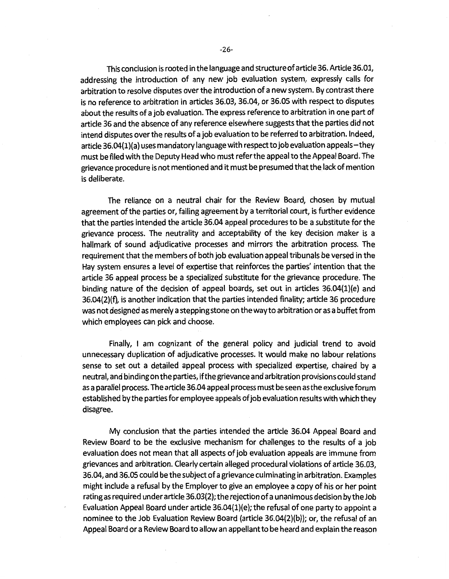This conclusion is rooted in the language and structure of article 36. Article 36.01, addressing the introduction of any new job evaluation system, expressly calls for arbitration to resolve disputes over the introduction of a new system. By contrast there is no reference to arbitration in articles 36.03, 36.04, or 36.05 with respect to disputes about the results of a job evaluation. The express reference to arbitration in one part of article 36 and the absence of any reference elsewhere suggests that the parties did not intend disputes over the results of a job evaluation to be referred to arbitration. Indeed, article 36.04(1)(a) uses mandatory language with respect to job evaluation appeals-they must be filed with the Deputy Head who must refer the appeal to the Appeal Board. The grievance procedure is not mentioned and it must be presumed that the lack of mention is deliberate.

The reliance on a neutral chair for the Review Board, chosen by mutual agreement of the parties or, failing agreement by a territorial court, is further evidence that the parties intended the article 36.04 appeal procedures to be a substitute for the grievance process. The neutrality and acceptability of the key decision maker is a hallmark of sound adjudicative processes and mirrors the arbitration process. The requirement that the members of both job evaluation appeal tribunals be versed in the Hay system ensures a level of expertise that reinforces the parties' intention that the article 36 appeal process be a specialized substitute for the grievance procedure. The binding nature of the decision of appeal boards, set out in articles 36.04(1)(e) and 36.04(2)(f), is another indication that the parties intended finality; article 36 procedure was not designed as merely a stepping stone on the way to arbitration or as a buffet from which employees can pick and choose.

Finally, I am cognizant of the general policy and judicial trend to avoid unnecessary duplication of adjudicative processes. It would make no labour relations sense to set out a detailed appeal process with specialized expertise, chaired by a neutral, and binding on the parties, if the grievance and arbitration provisions could stand as a parallel process. The article 36.04 appeal process must be seen as the exclusive forum established by the parties for employee appeals of job evaluation results with which they disagree.

My conclusion that the parties intended the article 36.04 Appeal Board and Review Board to be the exclusive mechanism for challenges to the results of a job evaluation does not mean that all aspects of job evaluation appeals are immune from grievances and arbitration. Clearly certain alleged procedural violations of article 36.03, 36.04, and 36.05 could be the subject of a grievance culminating in arbitration. Examples might include a refusal by the Employer to give an employee a copy of his or her point rating as required under article 36.03(2); the rejection of a unanimous decision by the Job Evaluation Appeal Board under article 36.04(1)(e); the refusal of one party to appoint a nominee to the Job Evaluation Review Board (article 36.04(2)(b)); or, the refusal of an Appeal Board or a Review Board to allow an appellant to be heard and explain the reason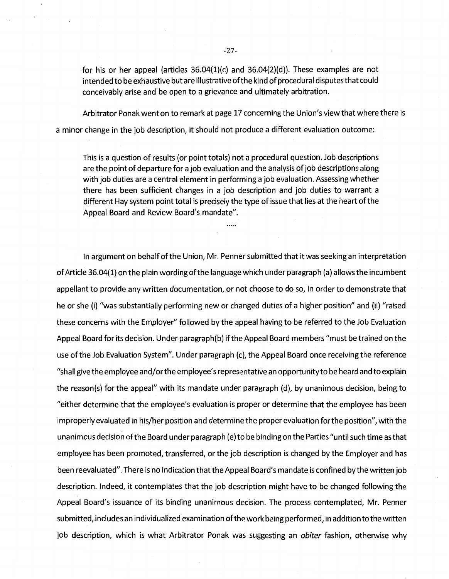for his or her appeal (articles 36.04{1){c) and 36.04{2){d)). These examples are not intended to be exhaustive but are illustrative of the kind of procedural disputes that could conceivably arise and be open to a grievance and ultimately arbitration.

Arbitrator Ponak went on to remark at page 17 concerning the Union's view that where there is a minor change in the job description, it should not produce a different evaluation outcome:

This is a question of results (or point totals) not a procedural question. Job descriptions are the point of departure for a job evaluation and the analysis of job descriptions along with job duties are a central element in performing a job evaluation. Assessing whether there has been sufficient changes in a job description and job duties to warrant a different Hay system point total is precisely the type of issue that lies at the heart of the Appeal Board and Review Board's mandate".

In argument on behalf of the Union, Mr. Penner submitted that it was seeking an interpretation of Article 36.04(1) on the plain wording of the language which under paragraph (a) allows the incumbent appellant to provide any written documentation, or not choose to do so, in order to demonstrate that he or she (i) "was substantially performing new or changed duties of a higher position" and (ii) "raised these concerns with the Employer" followed by the appeal having to be referred to the Job Evaluation Appeal Board for its decision. Under paragraph(b) if the Appeal Board members "must be trained on the use of the Job Evaluation System". Under paragraph (c), the Appeal Board once receiving the reference "shall give the employee and/or the employee's representative an opportunityto be heard and to explain the reason(s) for the appeal" with its mandate under paragraph (d), by unanimous decision, being to "either determine that the employee's evaluation is proper or determine that the employee has been improperly evaluated in his/her position and determine the proper evaluation for the position", with the unanimous decision of the Board under paragraph (e) to be binding on the Parties "until such time as that employee has been promoted, transferred, or the job description is changed by the Employer and has been reevaluated". There is no indication that the Appeal Board's mandate is confined by the written job description. Indeed, it contemplates that the job description might have to be changed following the Appeal Board's issuance of its binding unanimous decision. The process contemplated, Mr. Penner submitted, includes an individualized examination of the work being performed, in addition to the written job description, which is what Arbitrator Ponak was suggesting an *obiter* fashion, otherwise why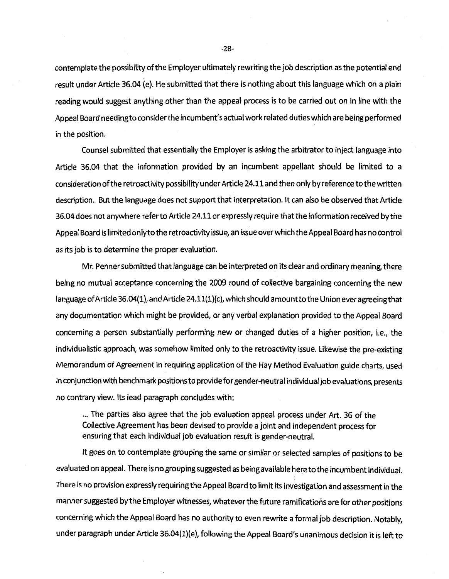contemplate the possibility of the Employer ultimately rewriting the job description as the potential end result under Article 36.04 (e). He submitted that there is nothing about this language which on a plain reading would suggest anything other than the appeal process is to be carried out on in line with the Appeal Board needing to consider the incumbent's actual work related duties which are being performed in the position.

Counsel submitted that essentially the Employer is asking the arbitrator to inject language into Article 36.04 that the information provided by an incumbent appellant should be limited to a consideration of the retroactivity possibility under Article 24.11 and then only by reference to the written description. But the language does not support that interpretation. It can also be observed that Article 36.04 does not anywhere refer to Article 24.11 or expressly require that the information received by the Appeal Board is limited only to the retro activity issue, an issue over which the Appeal Board has no control as its job is to determine the proper evaluation.

Mr. Penner submitted that language can be interpreted on its clear and ordinary meaning, there being no mutual acceptance concerning the 2009 round of collective bargaining concerning the new language of Article 36.04(1), and Article 24.11(1)(c), which should amount to the Union ever agreeing that any documentation which might be provided, or any verbal explanation provided to the Appeal Board concerning a person substantially performing new or changed duties of a higher position, i.e., the individualistic approach, was somehow limited only to the retroactivity issue. Likewise the pre-existing Memorandum of Agreement in requiring application of the Hay Method Evaluation guide charts, used in conjunction with benchmark positions to provide for gender-neutral individual job evaluations, presents no contrary view. Its lead paragraph concludes with:

... The parties also agree that the job evaluation appeal process under Art. 36 of the Collective Agreement has been devised to provide a joint and independent process for ensuring that each individual job evaluation result is gender-neutral.

It goes on to contemplate grouping the same or similar or selected samples of positions to be evaluated on appeal. There is no grouping suggested as being available here to the incumbent individual. There is no provision expressly requiring the Appeal Board to limit its investigation and assessment in the manner suggested by the Employer witnesses, whatever the future ramifications are for other positions concerning which the Appeal Board has no authority to even rewrite a formal job description. Notably, under paragraph under Article 36.04(1)(e), following the Appeal Board's unanimous decision it is left to

-28-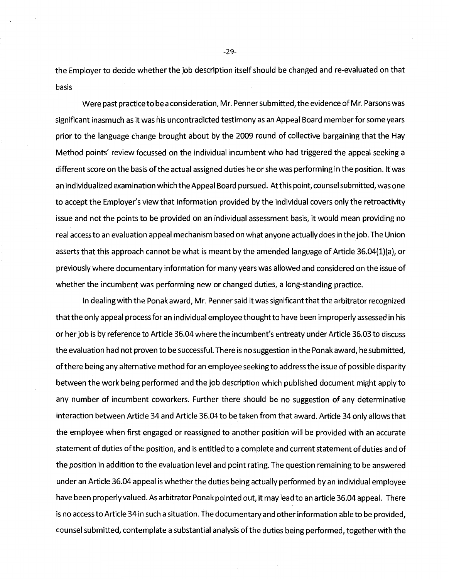the Employer to decide whether the job description itself should be changed and re-evaluated on that basis

Were past practice to be a consideration, Mr. Penner submitted, the evidence of Mr. Parsons was significant inasmuch as it was his uncontradicted testimony as an Appeal Board member for some years prior to the language change brought about by the 2009 round of collective bargaining that the Hay Method points' review focussed on the individual incumbent who had triggered the appeal seeking a different score on the basis of the actual assigned duties he or she was performing in the position. ltwas an individualized examination which the Appeal Board pursued. At this point, counsel submitted, was one to accept the Employer's view that information provided by the individual covers only the retroactivity issue and not the points to be provided on an individual assessment basis, it would mean providing no real access to an evaluation appeal mechanism based on what anyone actually does in the job. The Union asserts that this approach cannot be what is meant by the amended language of Article 36.04(1}(a}, or previously where documentary information for many years was allowed and considered on the issue of whether the incumbent was performing new or changed duties, a long-standing practice.

In dealing with the Ponak award, Mr. Penner said it was significant that the arbitrator recognized that the only appeal process for an individual employee thought to have been improperly assessed in his or her job is by reference to Article 36.04 where the incumbent's entreaty under Article 36.03 to discuss the evaluation had not proven to be successful. There is no suggestion in the Ponak award, he submitted, of there being any alternative method for an employee seeking to address the issue of possible disparity between the work being performed and the job description which published document might apply to any number of incumbent coworkers. Further there should be no suggestion of any determinative interaction between Article 34 and Article 36.04 to be taken from that award. Article 34 only allows that the employee when first engaged or reassigned to another position will be provided with an accurate statement of duties of the position, and is entitled to a complete and current statement of duties and of the position in addition to the evaluation level and point rating. The question remaining to be answered under an Article 36.04 appeal is whether the duties being actually performed by an individual employee have been properly valued. As arbitrator Ponak pointed out, it may lead to an article 36.04 appeal. There is no access to Article 34 in such a situation. The documentary and other information able to be provided, counsel submitted, contemplate a substantial analysis of the duties being performed, together with the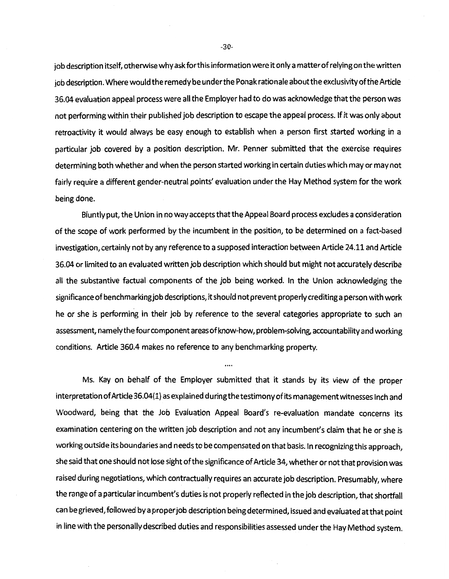job description itself, otherwise why ask for this information were it only a matter of relying on the written job description. Where would the remedy be under the Ponak rationale about the exclusivity of the Article 36.04 evaluation appeal process were all the Employer had to do was acknowledge that the person was not performing within their published job description to escape the appeal process. If it was only about retroactivity it would always be easy enough to establish when a person first started working in a particular job covered by a position description. Mr. Penner submitted that the exercise requires determining both whether and when the person started working in certain duties which may or may not fairly require a different gender-neutral points' evaluation under the Hay Method system for the work being done.

Bluntly put, the Union in no way accepts that the Appeal Board process excludes a consideration of the scope of work performed by the incumbent in the position, to be determined on a fact-based investigation, certainly not by any reference to a supposed interaction between Article 24.11 and Article 36.04 or limited to an evaluated written job description which should but might not accurately describe all the substantive factual components of the job being worked. In the Union acknowledging the significance of benchmarkingjob descriptions, it should not prevent properly crediting a person with work he or she is performing in their job by reference to the several categories appropriate to such an assessment, namely the four component areas of know-how, problem-solving, accountability and working conditions. Article 360.4 makes no reference to any benchmarking property.

Ms. Kay on behalf of the Employer submitted that it stands by its view of the proper interpretation of Article 36.04(1) as explained during the testimony of its management witnesses Inch and Woodward, being that the Job Evaluation Appeal Board's re-evaluation mandate concerns its examination centering on the written job description and not any incumbent's claim that he or she is working outside its boundaries and needs to be compensated on that basis. In recognizing this approach, she said that one should not lose sight of the significance of Article 34, whether or not that provision was raised during negotiations, which contractually requires an accurate job description. Presumably, where the range of a particular incumbent's duties is not properly reflected in the job description, that shortfall can be grieved, followed by a proper job description being determined, issued and evaluated atthat point in line with the personally described duties and responsibilities assessed under the Hay Method system.

-30-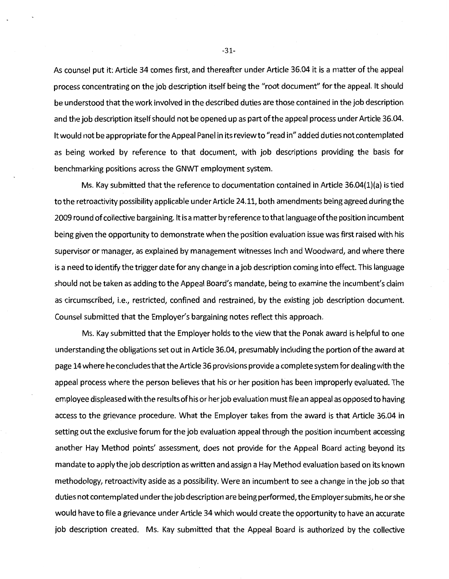As counsel put it: Article 34 comes first, and thereafter under Article 36.04 it is a matter of the appeal process concentrating on the job description itself being the "root document" for the appeal. It should be understood that the work involved in the described duties are those contained in the job description and the job description itself should not be opened up as part of the appeal process under Article 36.04. It would not be appropriate for the Appeal Panel in its review to "read in" added duties not contemplated as being worked by reference to that document, with job descriptions providing the basis for benchmarking positions across the GNWT employment system.

Ms. Kay submitted that the reference to documentation contained in Article 36.04(1)(a) is tied to the retroactivity possibility applicable under Article 24.11, both amendments being agreed during the 2009 round of collective bargaining. It is a matter by reference to that language of the position incumbent being given the opportunity to demonstrate when the position evaluation issue was first raised with his supervisor or manager, as explained by management witnesses Inch and Woodward, and where there is a need to identify the trigger date for any change in a job description coming into effect. This language should not be taken as adding to the Appeal Board's mandate, being to examine the incumbent's claim as circumscribed, i.e., restricted, confined and restrained, by the existing job description document. Counsel submitted that the Employer's bargaining notes reflect this approach.

Ms. Kay submitted that the Employer holds to the view that the Ponak award is helpful to one understanding the obligations set out in Article 36.04, presumably including the portion of the award at page 14 where he concludes that the Article 36 provisions provide a complete system for dealing with the appeal process where the person believes that his or her position has been improperly evaluated. The employee displeased with the results of his or her job evaluation must file an appeal as opposed to having access to the grievance procedure. What the Employer takes from the award is that Article 36.04 in setting out the exclusive forum for the job evaluation appeal through the position incumbent accessing another Hay Method points' assessment, does not provide for the Appeal Board acting beyond its mandate to apply the job description as written and assign a Hay Method evaluation based on its known methodology, retroactivity aside as a possibility. Were an incumbent to see a change in the job so that duties not contemplated under the job description are being performed, the Employer submits, he or she would have to file a grievance under Article 34 which would create the opportunity to have an accurate job description created. Ms. Kay submitted that the Appeal Board is authorized by the collective

-31-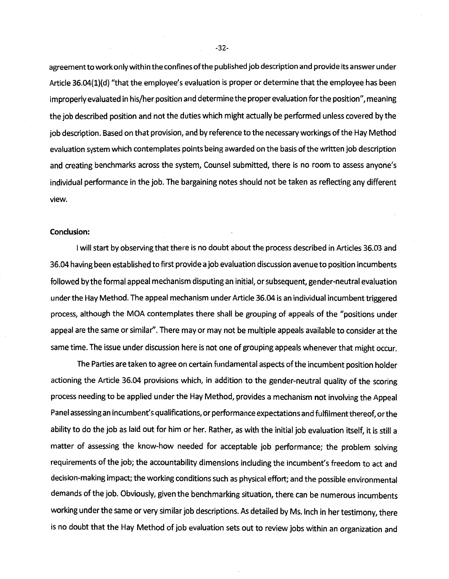agreement to work only within the confines of the published job description and provide its answer under Article 36.04(1)(d) "that the employee's evaluation is proper or determine that the employee has been improperly evaluated in his/her position and determinethe proper evaluation for the position", meaning the job described position and not the duties which might actually be performed unless covered by the job description. Based on that provision, and by reference to the necessary workings of the Hay Method evaluation system which contemplates points being awarded on the basis of the written job description and creating benchmarks across the system, Counsel submitted, there is no room to assess anyone's individual performance in the job. The bargaining notes should not be taken as reflecting any different view.

#### **Conclusion:**

I will start by observing that there is no doubt about the process described in Articles 36.03 and 36.04 having been established to first provide a job evaluation discussion avenue to position incumbents followed by the formal appeal mechanism disputing an initial, or subsequent, gender-neutral evaluation under the Hay Method. The appeal mechanism under Article 36.04 is an individual incumbent triggered process, although the MOA contemplates there shall be grouping of appeals of the "positions under appeal are the same or similar". There may or may not be multiple appeals available to consider at the same time. The issue under discussion here is not one of grouping appeals whenever that might occur.

The Parties are taken to agree on certain fundamental aspects of the incumbent position holder actioning the Article 36.04 provisions which, in addition to the gender-neutral quality of the scoring process needing to be applied under the Hay Method, provides a mechanism not involving the Appeal Panel assessing an incumbent's qualifications, or performance expectations and fulfilment thereof, or the ability to do the job as laid out for him or her. Rather, as with the initial job evaluation itself, it is still a matter of assessing the know-how needed for acceptable job performance; the problem solving requirements of the job; the accountability dimensions including the incumbent's freedom to act and decision-making impact; the working conditions such as physical effort; and the possible environmental demands of the job. Obviously, given the benchmarking situation, there can be numerous incumbents working under the same or very similar job descriptions. As detailed by Ms. Inch in her testimony, there is no doubt that the Hay Method of job evaluation sets out to review jobs within an organization and

-32-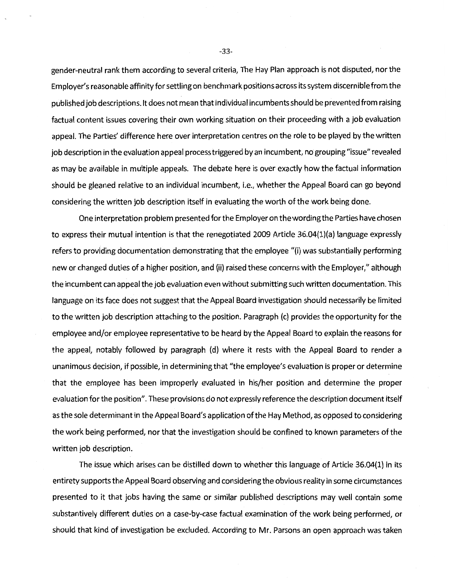gender-neutral rank them according to several criteria, The Hay Plan approach is not disputed, nor the Employer's reasonable affinity for settling on benchmark positions across its system discernible from the published job descriptions. It does not mean that individual incumbents should be prevented from raising factual content issues covering their own working situation on their proceeding with a job evaluation appeal. The Parties' difference here over interpretation centres on the role to be played by the written job description in the evaluation appeal process triggered by an incumbent, no grouping "issue" revealed as may be available in multiple appeals. The debate here is over exactly how the factual information should be gleaned relative to an individual incumbent, i.e., whether the Appeal Board can go beyond considering the written job description itself in evaluating the worth of the work being done.

One interpretation problem presented for the Employer on the wording the Parties have chosen to express their mutual intention is that the renegotiated 2009 Article 36.04(1)(a) language expressly refers to providing documentation demonstrating that the employee "(i) was substantially performing new or changed duties of a higher position, and (ii) raised these concerns with the Employer," although the incumbent can appeal the job evaluation even without submitting such written documentation. This language on its face does not suggest that the Appeal Board investigation should necessarily be limited to the written job description attaching to the position. Paragraph (c) provides the opportunity for the employee and/or employee representative to be heard by the Appeal Board to explain the reasons for the appeal, notably followed by paragraph (d) where it rests with the Appeal Board to render a unanimous decision, if possible, in determining that "the employee's evaluation is proper or determine that the employee has been improperly evaluated in his/her position and determine the proper evaluation for the position". These provisions do not expressly reference the description document itself as the sole determinant in the Appeal Board's application of the Hay Method, as opposed to considering the work being performed, nor that the investigation should be confined to known parameters of the written job description.

The issue which arises can be distilled down to whether this language of Article 36.04(1) in its entirety supports the Appeal Board observing and considering the obvious reality in some circumstances presented to it that jobs having the same or similar published descriptions may well contain some substantively different duties on a case-by-case factual examination of the work being performed, or should that kind of investigation be excluded. According to Mr. Parsons an open approach was taken

-33-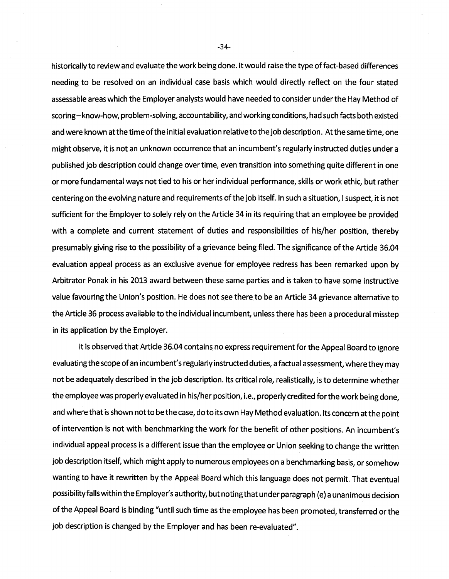historically to review and evaluate the work being done. It would raise the type of fact-based differences needing to be resolved on an individual case basis which would directly reflect on the four stated assessable areas which the Employer analysts would have needed to consider under the Hay Method of scoring-know-how, problem-solving, accountability, and working conditions, had such facts both existed and were known at the time of the initial evaluation relative to the job description. At the same time, one might observe, it is not an unknown occurrence that an incumbent's regularly instructed duties under a published job description could change over time, even transition into something quite different in one or more fundamental ways not tied to his or her individual performance, skills or work ethic, but rather centering on the evolving nature and requirements of the job itself. In such a situation, I suspect, it is not sufficient for the Employer to solely rely on the Article 34 in its requiring that an employee be provided with a complete and current statement of duties and responsibilities of his/her position, thereby presumably giving rise to the possibility of a grievance being filed. The significance of the Article 36.04 evaluation appeal process as an exclusive avenue for employee redress has been remarked upon by Arbitrator Ponak in his 2013 award between these same parties and is taken to have some instructive value favouring the Union's position. He does not see there to be an Article 34 grievance alternative to the Article 36 process available to the individual incumbent, unless there has been a procedural misstep in its application by the Employer.

It is observed that Article 36.04 contains no express requirement for the Appeal Board to ignore evaluating the scope of an incumbent's regularly instructed duties, a factual assessment, where they may not be adequately described in the job description. Its critical role, realistically, is to determine whether the employee was properly evaluated in his/her position, i.e., properly credited for the work being done, and where that is shown not to be the case, do to its own Hay Method evaluation. Its concern at the point of intervention is not with benchmarking the work for the benefit of other positions. An incumbent's individual appeal process is a different issue than the employee or Union seeking to change the written job description itself, which might apply to numerous employees on a benchmarking basis, or somehow wanting to have it rewritten by the Appeal Board which this language does not permit. That eventual possibility falls within the Employer's authority, but noting that under paragraph (e) a unanimous decision of the Appeal Board is binding "until such time as the employee has been promoted, transferred or the job description is changed by the Employer and has been re-evaluated".

-34-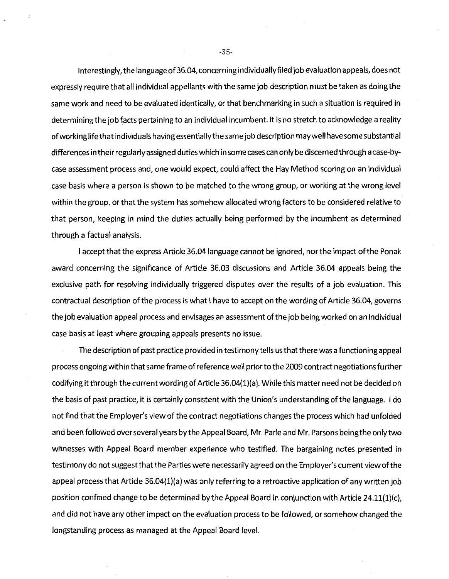lnterestingly, the language of 36.04, concerningindividuallyfiled job evaluation appeals, does not expressly require that all individual appellants with the same job description must be taken as doing the same work and need to be evaluated identically, or that benchmarking in such a situation is required in determining the job facts pertaining to an individual incumbent. It is no stretch to acknowledge a reality of working life that individuals having essentially the same job description may well have some substantial differences in their regularly assigned duties which in some cases can only be discerned through a case-bycase assessment process and, one would expect, could affect the Hay Method scoring on an individual case basis where a person is shown to be matched to the wrong group, or working at the wrong level within the group, or that the system has somehow allocated wrong factors to be considered relative to that person, keeping in mind the duties actually being performed by the incumbent as determined through a factual analysis.

I accept that the express Article 36.04 language cannot be ignored, nor the impact of the Ponak award concerning the significance of Article 36.03 discussions and Article 36.04 appeals being the exclusive path for resolving individually triggered disputes over the results of a job evaluation. This contractual description of the process is what I have to accept on the wording of Article 36.04, governs the job evaluation appeal process and envisages an assessment of the job being worked on an individual case basis at least where grouping appeals presents no issue.

The description of past practice provided in testimony tells us that there was a functioning appeal process ongoing within that same frame of reference well prior to the 2009 contract negotiations further codifying it through the current wording of Article 36.04(1)(a). While this matter need not be decided on the basis of past practice, it is certainly consistent with the Union's understanding of the language. I do not find that the Employer's view of the contract negotiations changes the process which had unfolded and been followed over several years by the Appeal Board, Mr. Parle and Mr. Parsons beingthe only two witnesses with Appeal Board member experience who testified. The bargaining notes presented in testimony do not suggest that the Parties were necessarily agreed on the Employer's current view of the appeal process that Article 36.04(1)(a) was only referring to a retroactive application of any written job position confined change to be determined by the Appeal Board in conjunction with Article 24.11(1)(c), and did not have any other impact on the evaluation process to be followed, or somehow changed the longstanding process as managed at the Appeal Board level.

-35-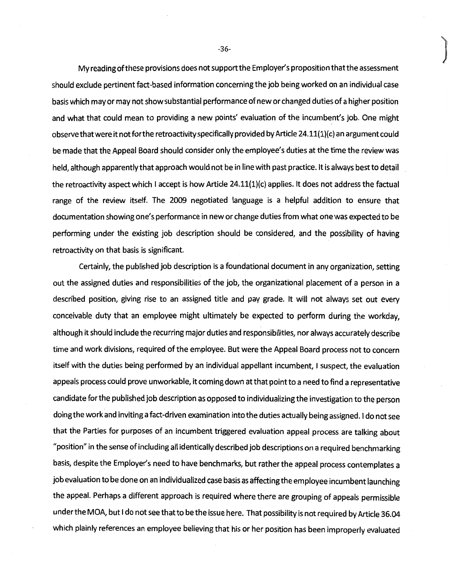My reading of these provisions does not support the Employer's proposition that the assessment should exclude pertinent fact-based information concerning the job being worked on an individual case basis which may or may not show substantial performance of new or changed duties of a higher position and what that could mean to providing a new points' evaluation of the incumbent's job. One might observe that were it not for the retroactivity specifically provided by Article 24.11(1)(c) an argument could be made that the Appeal Board should consider only the employee's duties at the time the review was held, although apparently that approach would not be in line with past practice. It is always best to detail the retroactivity aspect which I accept is how Article 24.11(1)(c) applies. It does not address the factual range of the review itself. The 2009 negotiated language is a helpful addition to ensure that documentation showing one's performance in new or change duties from what one was expected to be performing under the existing job description should be considered, and the possibility of having retroactivity on that basis is significant.

Certainly, the published job description is a foundational document in any organization, setting out the assigned duties and responsibilities of the job, the organizational placement of a person in a described position, giving rise to an assigned title and pay grade. It will not always set out every conceivable duty that an employee might ultimately be expected to perform during the workday, although it should include the recurring major duties and responsibilities, nor always accurately describe time and work divisions, required of the employee. But were the Appeal Board process not to concern itself with the duties being performed by an individual appellant incumbent, I suspect, the evaluation appeals process could prove unworkable, it coming down at that point to a need to find a representative candidate for the published job description as opposed to individualizing the investigation to the person doing the work and inviting a fact-driven examination into the duties actually being assigned. I do not see that the Parties for purposes of an incumbent triggered evaluation appeal process are talking about "position" in the sense of including all identically described job descriptions on a required benchmarking basis, despite the Employer's need to have benchmarks, but rather the appeal process contemplates a job evaluation to be done on an individualized case basis as affecting the employee incumbent launching the appeal. Perhaps a different approach is required where there are grouping of appeals permissible under the MOA, but I do not see that to be the issue here. That possibility is not required by Article 36.04 which plainly references an employee believing that his or her position has been improperly evaluated

-36-

)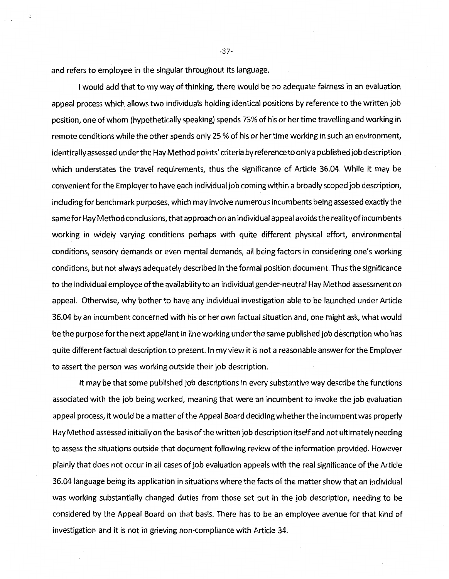and refers to employee in the singular throughout its language.

I would add that to my way of thinking, there would be no adequate fairness in an evaluation appeal process which allows two individuals holding identical positions by reference to the written job position, one of whom (hypothetically speaking} spends 75% of his or her time travelling and working in remote conditions while the other spends only 25 % of his or her time working in such an environment, identically assessed under the Hay Method points' criteria by reference to only a published job description . which understates the travel requirements, thus the significance of Article 36.04. While it may be convenient for the Employer to have each individual job coming within a broadly scoped job description, including for benchmark purposes, which may involve numerous incumbents being assessed exactly the same for Hay Method conclusions, that approach on an individual appeal avoids the realityofincumbents working in widely varying conditions perhaps with quite different physical effort, environmental conditions, sensory demands or even mental demands, all being factors in considering one's working conditions, but not always adequately described in the formal position document. Thus the significance to the individual employee of the availability to an individual gender-neutral Hay Method assessment on appeal. Otherwise, why bother to have any individual investigation able to be launched under Article 36.04 by an incumbent concerned with his or her own factual situation and, one might ask, what would be the purpose for the next appellant in line working under the same published job description who has quite different factual description to present. In my view it is not a reasonable answer for the Employer to assert the person was working outside their job description.

It may be that some published job descriptions in every substantive way describe the functions associated with the job being worked, meaning that were an incumbent to invoke the job evaluation appeal process, it would be a matter of the Appeal Board deciding whether the incumbent was properly Hay Method assessed initially on the basis of the written job description itself and not ultimately needing to assess the situations outside that document following review of the information provided. However plainly that does not occur in all cases of job evaluation appeals with the real significance of the Article 36.04 language being its application in situations where the facts of the matter show that an individual was working substantially changed duties from those set out in the job description, needing to be considered by the Appeal Board on that basis. There has to be an employee avenue for that kind of investigation and it is not in grieving non-compliance with Article 34.

-37-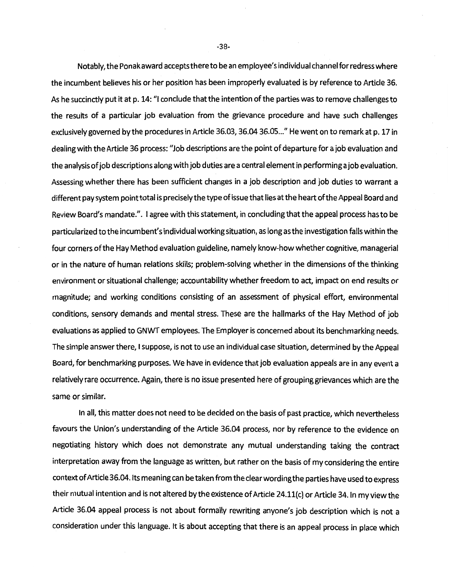Notably, the Ponak award accepts there to be an employee's individual channel for redress where the incumbent believes his or her position has been improperly evaluated is by reference to Article 36. As he succinctly put it at p. 14: "I conclude that the intention of the parties was to remove challenges to the results of a particular job evaluation from the grievance procedure and have such challenges exclusively governed by the procedures in Article 36.03, 36.04 36.05 ... " He went on to remark at p. 17 in dealing with the Article 36 process: "Job descriptions are the point of departure for a job evaluation and the analysis of job descriptions along with job duties are a central element in performing a job evaluation. Assessing whether there has been sufficient changes in a job description and job duties to warrant a different pay system point total is precisely the type of issue that lies at the heart of the Appeal Board and Review Board's mandate.". I agree with this statement, in concluding that the appeal process has to be particularized to the incumbent's individual working situation, as long as the investigation falls within the four corners of the Hay Method evaluation guideline, namely know-how whether cognitive, managerial or in the nature of human relations skills; problem-solving whether in the dimensions of the thinking environment or situational challenge; accountability whether freedom to act, impact on end results or magnitude; and working conditions consisting of an assessment of physical effort, environmental conditions, sensory demands and mental stress. These are the hallmarks of the Hay Method of job evaluations as applied to GNWT employees. The Employer is concerned about its benchmarking needs. The simple answer there, I suppose, is not to use an individual case situation, determined by the Appeal Board, for benchmarking purposes. We have in evidence that job evaluation appeals are in any event a relatively rare occurrence. Again, there is no issue presented here of grouping grievances which are the same or similar.

In all, this matter does not need to be decided on the basis of past practice, which nevertheless favours the Union's understanding of the Article 36.04 process, nor by reference to the evidence on negotiating history which does not demonstrate any mutual understanding taking the contract interpretation away from the language as written, but rather on the basis of my considering the entire context of Article 36.04. Its meaning can be taken from the clear wording the parties have used to express their mutual intention and is not altered by the existence of Article 24.ll(c) or Article 34. In my view the Article 36.04 appeal process is not about formally rewriting anyone's job description which is not a consideration under this language. It is about accepting that there is an appeal process in place which

-38-